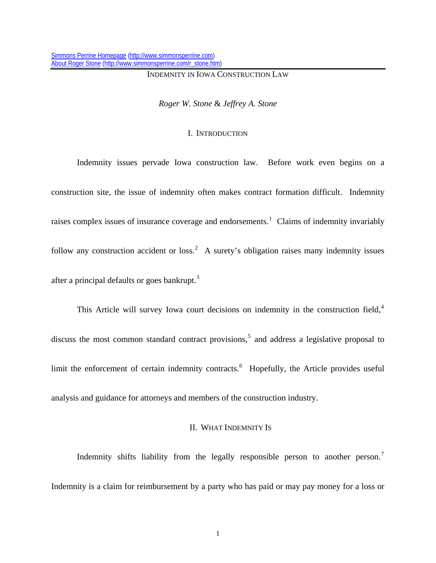### INDEMNITY IN IOWA CONSTRUCTION LAW

*Roger W. Stone* & *Jeffrey A. Stone* 

### I. INTRODUCTION

 Indemnity issues pervade Iowa construction law. Before work even begins on a construction site, the issue of indemnity often makes contract formation difficult. Indemnity raises complex issues of insurance coverage and endorsements.<sup>[1](#page-97-0)</sup> Claims of indemnity invariably follow any construction accident or loss.<sup>[2](#page-97-1)</sup> A surety's obligation raises many indemnity issues after a principal defaults or goes bankrupt.<sup>[3](#page-97-1)</sup>

This Article will survey Iowa court decisions on indemnity in the construction field,<sup>[4](#page-97-1)</sup> discuss the most common standard contract provisions,<sup>[5](#page-97-1)</sup> and address a legislative proposal to limit the enforcement of certain indemnity contracts.<sup>[6](#page-97-1)</sup> Hopefully, the Article provides useful analysis and guidance for attorneys and members of the construction industry.

## II. WHAT INDEMNITY IS

Indemnity shifts liability from the legally responsible person to another person.<sup>[7](#page-97-1)</sup> Indemnity is a claim for reimbursement by a party who has paid or may pay money for a loss or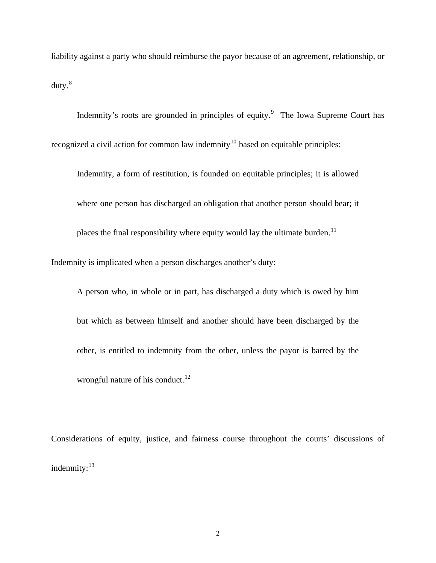liability against a party who should reimburse the payor because of an agreement, relationship, or  $duty.<sup>8</sup>$  $duty.<sup>8</sup>$  $duty.<sup>8</sup>$ 

Indemnity's roots are grounded in principles of equity.<sup>[9](#page-97-1)</sup> The Iowa Supreme Court has recognized a civil action for common law indemnity<sup>[10](#page-97-1)</sup> based on equitable principles:

Indemnity, a form of restitution, is founded on equitable principles; it is allowed where one person has discharged an obligation that another person should bear; it places the final responsibility where equity would lay the ultimate burden.<sup>[11](#page-97-1)</sup> Indemnity is implicated when a person discharges another's duty:

A person who, in whole or in part, has discharged a duty which is owed by him but which as between himself and another should have been discharged by the other, is entitled to indemnity from the other, unless the payor is barred by the wrongful nature of his conduct. $^{12}$  $^{12}$  $^{12}$ 

Considerations of equity, justice, and fairness course throughout the courts' discussions of indemnity: $13$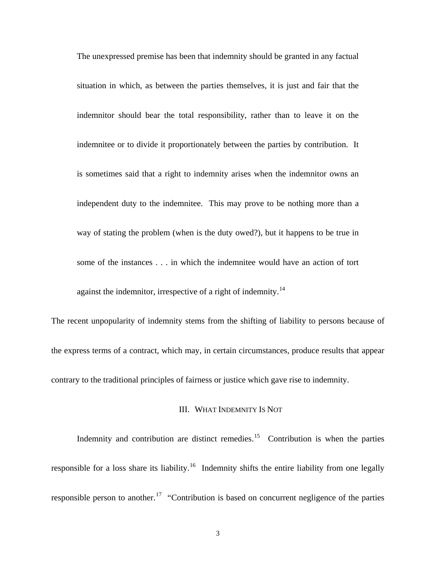The unexpressed premise has been that indemnity should be granted in any factual situation in which, as between the parties themselves, it is just and fair that the indemnitor should bear the total responsibility, rather than to leave it on the indemnitee or to divide it proportionately between the parties by contribution. It is sometimes said that a right to indemnity arises when the indemnitor owns an independent duty to the indemnitee. This may prove to be nothing more than a way of stating the problem (when is the duty owed?), but it happens to be true in some of the instances . . . in which the indemnitee would have an action of tort against the indemnitor, irrespective of a right of indemnity.<sup>[14](#page-97-1)</sup>

The recent unpopularity of indemnity stems from the shifting of liability to persons because of the express terms of a contract, which may, in certain circumstances, produce results that appear contrary to the traditional principles of fairness or justice which gave rise to indemnity.

#### III. WHAT INDEMNITY IS NOT

Indemnity and contribution are distinct remedies.<sup>[15](#page-97-1)</sup> Contribution is when the parties responsible for a loss share its liability.<sup>[16](#page-97-1)</sup> Indemnity shifts the entire liability from one legally responsible person to another.<sup>[17](#page-97-1)</sup> "Contribution is based on concurrent negligence of the parties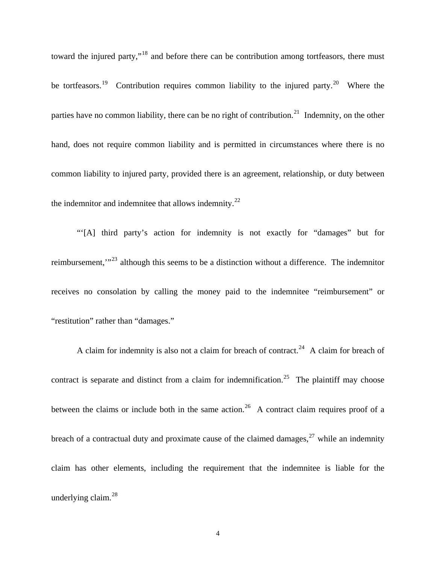toward the injured party,"<sup>[18](#page-97-1)</sup> and before there can be contribution among tortfeasors, there must be tortfeasors.<sup>[19](#page-97-1)</sup> Contribution requires common liability to the injured party.<sup>[20](#page-97-1)</sup> Where the parties have no common liability, there can be no right of contribution.<sup>[21](#page-97-1)</sup> Indemnity, on the other hand, does not require common liability and is permitted in circumstances where there is no common liability to injured party, provided there is an agreement, relationship, or duty between the indemnitor and indemnitee that allows indemnity.<sup>[22](#page-97-1)</sup>

 "'[A] third party's action for indemnity is not exactly for "damages" but for reimbursement,"<sup>[23](#page-97-1)</sup> although this seems to be a distinction without a difference. The indemnitor receives no consolation by calling the money paid to the indemnitee "reimbursement" or "restitution" rather than "damages."

A claim for indemnity is also not a claim for breach of contract.<sup>[24](#page-97-1)</sup> A claim for breach of contract is separate and distinct from a claim for indemnification.<sup>[25](#page-97-1)</sup> The plaintiff may choose between the claims or include both in the same action.<sup>[26](#page-97-1)</sup> A contract claim requires proof of a breach of a contractual duty and proximate cause of the claimed damages,  $27$  while an indemnity claim has other elements, including the requirement that the indemnitee is liable for the underlying claim.<sup>[28](#page-97-1)</sup>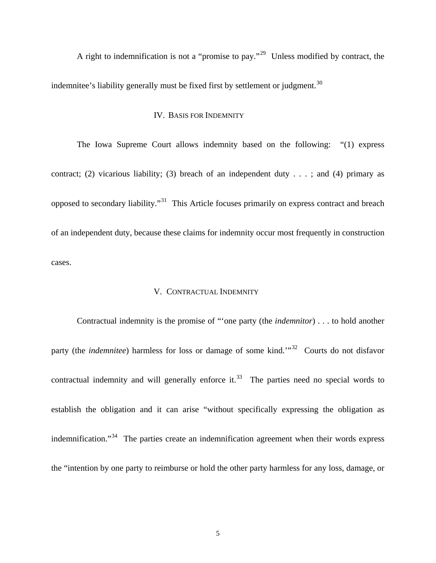A right to indemnification is not a "promise to pay."[29](#page-97-1) Unless modified by contract, the indemnitee's liability generally must be fixed first by settlement or judgment.<sup>[30](#page-97-1)</sup>

## IV. BASIS FOR INDEMNITY

 The Iowa Supreme Court allows indemnity based on the following: "(1) express contract; (2) vicarious liability; (3) breach of an independent duty  $\dots$ ; and (4) primary as opposed to secondary liability."[31](#page-97-1) This Article focuses primarily on express contract and breach of an independent duty, because these claims for indemnity occur most frequently in construction cases.

### V. CONTRACTUAL INDEMNITY

Contractual indemnity is the promise of "'one party (the *indemnitor*) . . . to hold another party (the *indemnitee*) harmless for loss or damage of some kind.<sup>"[32](#page-97-1)</sup> Courts do not disfavor contractual indemnity and will generally enforce it. $33$  The parties need no special words to establish the obligation and it can arise "without specifically expressing the obligation as indemnification."<sup>[34](#page-97-1)</sup> The parties create an indemnification agreement when their words express the "intention by one party to reimburse or hold the other party harmless for any loss, damage, or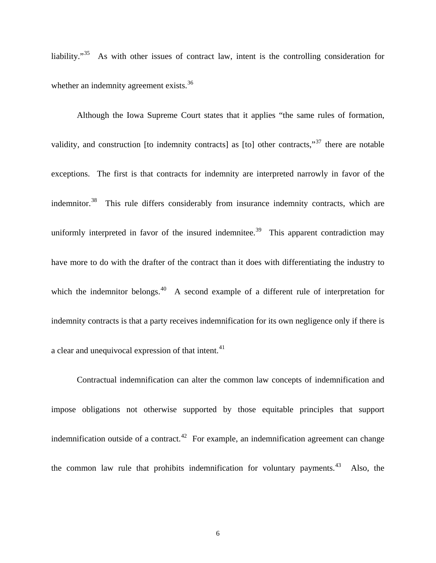liability."<sup>[35](#page-97-1)</sup> As with other issues of contract law, intent is the controlling consideration for whether an indemnity agreement exists.<sup>[36](#page-97-1)</sup>

 Although the Iowa Supreme Court states that it applies "the same rules of formation, validity, and construction [to indemnity contracts] as [to] other contracts,"<sup>[37](#page-97-1)</sup> there are notable exceptions. The first is that contracts for indemnity are interpreted narrowly in favor of the indemnitor.<sup>[38](#page-97-1)</sup> This rule differs considerably from insurance indemnity contracts, which are uniformly interpreted in favor of the insured indemnitee.<sup>[39](#page-97-1)</sup> This apparent contradiction may have more to do with the drafter of the contract than it does with differentiating the industry to which the indemnitor belongs. $40$  A second example of a different rule of interpretation for indemnity contracts is that a party receives indemnification for its own negligence only if there is a clear and unequivocal expression of that intent.<sup>[41](#page-97-1)</sup>

Contractual indemnification can alter the common law concepts of indemnification and impose obligations not otherwise supported by those equitable principles that support indemnification outside of a contract.<sup>[42](#page-97-1)</sup> For example, an indemnification agreement can change the common law rule that prohibits indemnification for voluntary payments.<sup>[43](#page-97-1)</sup> Also, the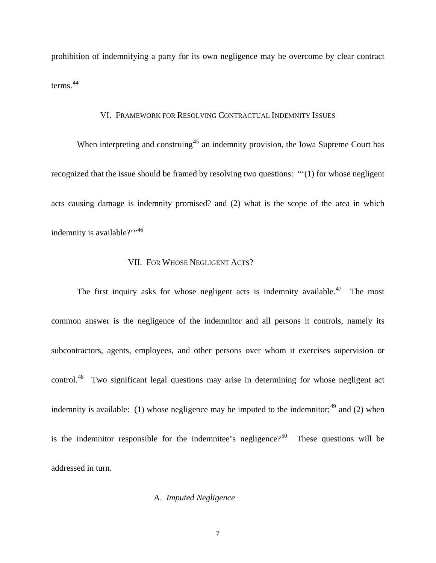prohibition of indemnifying a party for its own negligence may be overcome by clear contract terms.[44](#page-97-1)

### VI. FRAMEWORK FOR RESOLVING CONTRACTUAL INDEMNITY ISSUES

When interpreting and construing<sup>[45](#page-97-1)</sup> an indemnity provision, the Iowa Supreme Court has recognized that the issue should be framed by resolving two questions: "'(1) for whose negligent acts causing damage is indemnity promised? and (2) what is the scope of the area in which indemnity is available?"<sup>[46](#page-97-1)</sup>

## VII. FOR WHOSE NEGLIGENT ACTS?

The first inquiry asks for whose negligent acts is indemnity available.<sup>[47](#page-97-1)</sup> The most common answer is the negligence of the indemnitor and all persons it controls, namely its subcontractors, agents, employees, and other persons over whom it exercises supervision or control.<sup>[48](#page-97-1)</sup> Two significant legal questions may arise in determining for whose negligent act indemnity is available: (1) whose negligence may be imputed to the indemnitor;<sup>[49](#page-97-1)</sup> and (2) when is the indemnitor responsible for the indemnitee's negligence?<sup>[50](#page-97-1)</sup> These questions will be addressed in turn.

# A.*Imputed Negligence*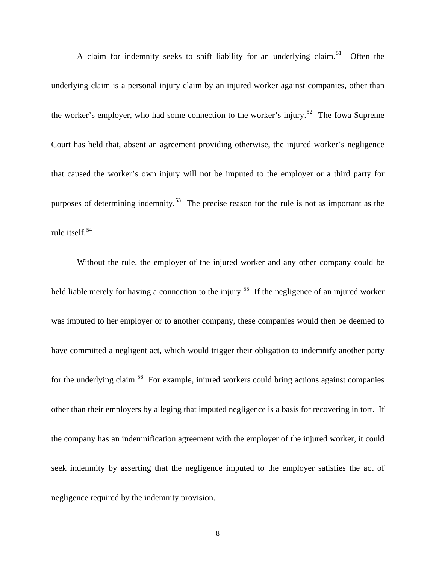A claim for indemnity seeks to shift liability for an underlying claim.<sup>[51](#page-97-1)</sup> Often the underlying claim is a personal injury claim by an injured worker against companies, other than the worker's employer, who had some connection to the worker's injury.<sup>[52](#page-97-1)</sup> The Iowa Supreme Court has held that, absent an agreement providing otherwise, the injured worker's negligence that caused the worker's own injury will not be imputed to the employer or a third party for purposes of determining indemnity.<sup>[53](#page-97-1)</sup> The precise reason for the rule is not as important as the rule itself.<sup>[54](#page-97-1)</sup>

Without the rule, the employer of the injured worker and any other company could be held liable merely for having a connection to the injury.<sup>[55](#page-97-1)</sup> If the negligence of an injured worker was imputed to her employer or to another company, these companies would then be deemed to have committed a negligent act, which would trigger their obligation to indemnify another party for the underlying claim.<sup>[56](#page-97-1)</sup> For example, injured workers could bring actions against companies other than their employers by alleging that imputed negligence is a basis for recovering in tort. If the company has an indemnification agreement with the employer of the injured worker, it could seek indemnity by asserting that the negligence imputed to the employer satisfies the act of negligence required by the indemnity provision.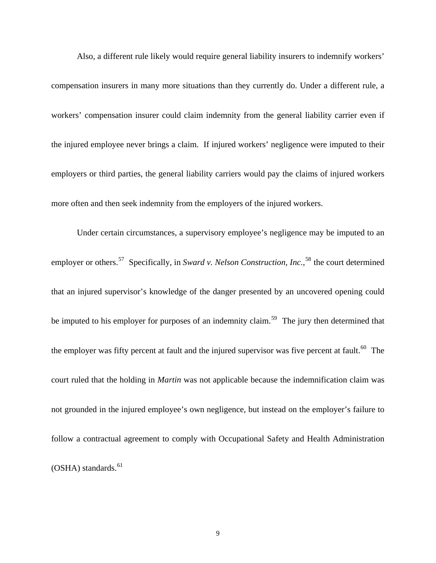Also, a different rule likely would require general liability insurers to indemnify workers' compensation insurers in many more situations than they currently do. Under a different rule, a workers' compensation insurer could claim indemnity from the general liability carrier even if the injured employee never brings a claim. If injured workers' negligence were imputed to their employers or third parties, the general liability carriers would pay the claims of injured workers more often and then seek indemnity from the employers of the injured workers.

Under certain circumstances, a supervisory employee's negligence may be imputed to an employer or others.<sup>[57](#page-97-1)</sup> Specifically, in *Sward v. Nelson Construction, Inc.*,<sup>[58](#page-97-1)</sup> the court determined that an injured supervisor's knowledge of the danger presented by an uncovered opening could be imputed to his employer for purposes of an indemnity claim.<sup>[59](#page-97-1)</sup> The jury then determined that the employer was fifty percent at fault and the injured supervisor was five percent at fault.<sup>[60](#page-97-1)</sup> The court ruled that the holding in *Martin* was not applicable because the indemnification claim was not grounded in the injured employee's own negligence, but instead on the employer's failure to follow a contractual agreement to comply with Occupational Safety and Health Administration  $(OSHA)$  standards.<sup>[61](#page-97-1)</sup>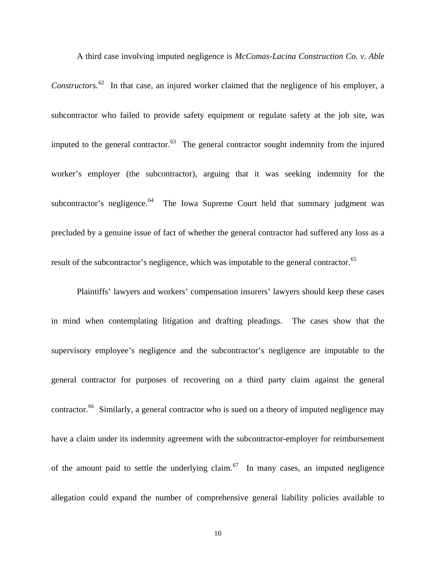*Constructors.*[62](#page-97-1) In that case, an injured worker claimed that the negligence of his employer, a subcontractor who failed to provide safety equipment or regulate safety at the job site, was imputed to the general contractor.<sup>[63](#page-97-1)</sup> The general contractor sought indemnity from the injured worker's employer (the subcontractor), arguing that it was seeking indemnity for the subcontractor's negligence.<sup>[64](#page-97-1)</sup> The Iowa Supreme Court held that summary judgment was precluded by a genuine issue of fact of whether the general contractor had suffered any loss as a result of the subcontractor's negligence, which was imputable to the general contractor.<sup>[65](#page-97-1)</sup>

A third case involving imputed negligence is *McComas-Lacina Construction Co. v. Able* 

Plaintiffs' lawyers and workers' compensation insurers' lawyers should keep these cases in mind when contemplating litigation and drafting pleadings. The cases show that the supervisory employee's negligence and the subcontractor's negligence are imputable to the general contractor for purposes of recovering on a third party claim against the general contractor.<sup>[66](#page-97-1)</sup> Similarly, a general contractor who is sued on a theory of imputed negligence may have a claim under its indemnity agreement with the subcontractor-employer for reimbursement of the amount paid to settle the underlying claim.<sup>[67](#page-97-1)</sup> In many cases, an imputed negligence allegation could expand the number of comprehensive general liability policies available to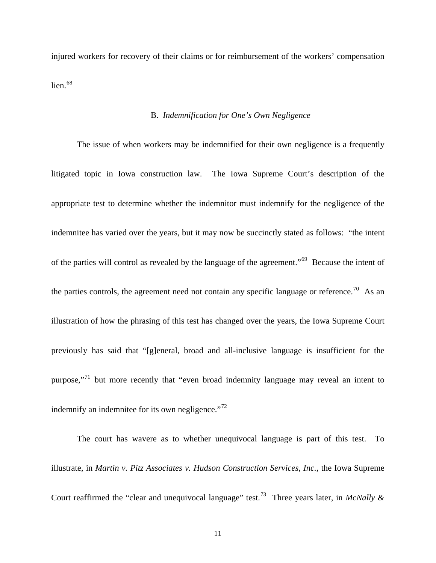injured workers for recovery of their claims or for reimbursement of the workers' compensation lien. $68$ 

### B. *Indemnification for One's Own Negligence*

 The issue of when workers may be indemnified for their own negligence is a frequently litigated topic in Iowa construction law. The Iowa Supreme Court's description of the appropriate test to determine whether the indemnitor must indemnify for the negligence of the indemnitee has varied over the years, but it may now be succinctly stated as follows: "the intent of the parties will control as revealed by the language of the agreement."[69](#page-97-1) Because the intent of the parties controls, the agreement need not contain any specific language or reference.<sup>[70](#page-97-1)</sup> As an illustration of how the phrasing of this test has changed over the years, the Iowa Supreme Court previously has said that "[g]eneral, broad and all-inclusive language is insufficient for the purpose,"[71](#page-97-1) but more recently that "even broad indemnity language may reveal an intent to indemnify an indemnitee for its own negligence."<sup>[72](#page-97-1)</sup>

 The court has wavere as to whether unequivocal language is part of this test. To illustrate, in *Martin v. Pitz Associates v. Hudson Construction Services, Inc.*, the Iowa Supreme Court reaffirmed the "clear and unequivocal language" test.<sup>[73](#page-97-1)</sup> Three years later, in *McNally &*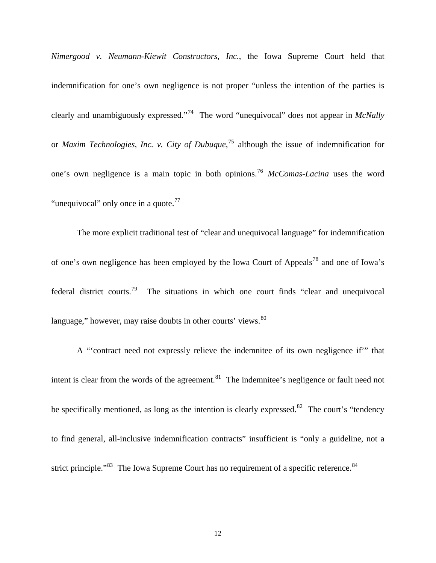*Nimergood v. Neumann-Kiewit Constructors, Inc.*, the Iowa Supreme Court held that indemnification for one's own negligence is not proper "unless the intention of the parties is clearly and unambiguously expressed."[74](#page-97-1) The word "unequivocal" does not appear in *McNally* or *Maxim Technologies*, *Inc. v. City of Dubuque*, [75](#page-97-1) although the issue of indemnification for one's own negligence is a main topic in both opinions.[76](#page-97-1) *McComas-Lacina* uses the word "unequivocal" only once in a quote. $77$ 

 The more explicit traditional test of "clear and unequivocal language" for indemnification of one's own negligence has been employed by the Iowa Court of Appeals[78](#page-97-1) and one of Iowa's federal district courts.<sup>[79](#page-97-1)</sup> The situations in which one court finds "clear and unequivocal language," however, may raise doubts in other courts' views. <sup>[80](#page-97-1)</sup>

 A "'contract need not expressly relieve the indemnitee of its own negligence if'" that intent is clear from the words of the agreement. $81$  The indemnitee's negligence or fault need not be specifically mentioned, as long as the intention is clearly expressed.<sup>[82](#page-97-1)</sup> The court's "tendency" to find general, all-inclusive indemnification contracts" insufficient is "only a guideline, not a strict principle."<sup>[83](#page-97-1)</sup> The Iowa Supreme Court has no requirement of a specific reference.<sup>[84](#page-97-1)</sup>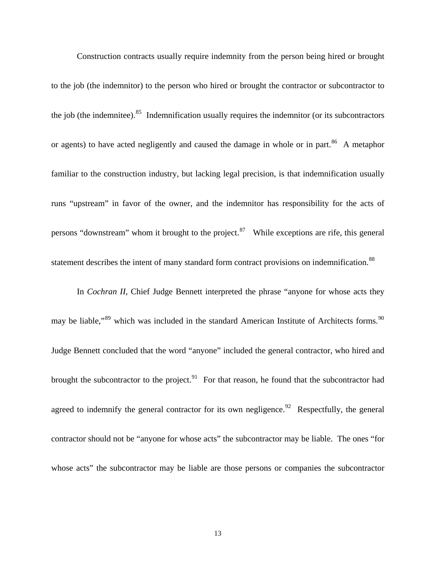Construction contracts usually require indemnity from the person being hired or brought to the job (the indemnitor) to the person who hired or brought the contractor or subcontractor to the job (the indemnitee). $85$  Indemnification usually requires the indemnitor (or its subcontractors or agents) to have acted negligently and caused the damage in whole or in part.<sup>[86](#page-97-1)</sup> A metaphor familiar to the construction industry, but lacking legal precision, is that indemnification usually runs "upstream" in favor of the owner, and the indemnitor has responsibility for the acts of persons "downstream" whom it brought to the project. $87$  While exceptions are rife, this general statement describes the intent of many standard form contract provisions on indemnification.<sup>[88](#page-97-1)</sup>

In *Cochran II*, Chief Judge Bennett interpreted the phrase "anyone for whose acts they may be liable,"<sup>[89](#page-97-1)</sup> which was included in the standard American Institute of Architects forms.<sup>90</sup> Judge Bennett concluded that the word "anyone" included the general contractor, who hired and brought the subcontractor to the project.<sup>[91](#page-97-1)</sup> For that reason, he found that the subcontractor had agreed to indemnify the general contractor for its own negligence.<sup>[92](#page-97-1)</sup> Respectfully, the general contractor should not be "anyone for whose acts" the subcontractor may be liable. The ones "for whose acts" the subcontractor may be liable are those persons or companies the subcontractor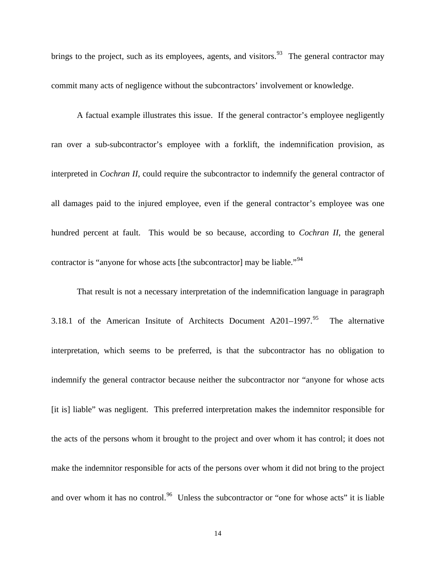brings to the project, such as its employees, agents, and visitors.<sup>[93](#page-97-1)</sup> The general contractor may commit many acts of negligence without the subcontractors' involvement or knowledge.

 A factual example illustrates this issue. If the general contractor's employee negligently ran over a sub-subcontractor's employee with a forklift, the indemnification provision, as interpreted in *Cochran II*, could require the subcontractor to indemnify the general contractor of all damages paid to the injured employee, even if the general contractor's employee was one hundred percent at fault. This would be so because, according to *Cochran II*, the general contractor is "anyone for whose acts [the subcontractor] may be liable."<sup>[94](#page-97-1)</sup>

That result is not a necessary interpretation of the indemnification language in paragraph 3.18.1 of the American Insitute of Architects Document  $A201-1997$ .<sup>[95](#page-97-1)</sup> The alternative interpretation, which seems to be preferred, is that the subcontractor has no obligation to indemnify the general contractor because neither the subcontractor nor "anyone for whose acts [it is] liable" was negligent. This preferred interpretation makes the indemnitor responsible for the acts of the persons whom it brought to the project and over whom it has control; it does not make the indemnitor responsible for acts of the persons over whom it did not bring to the project and over whom it has no control.<sup>[96](#page-97-1)</sup> Unless the subcontractor or "one for whose acts" it is liable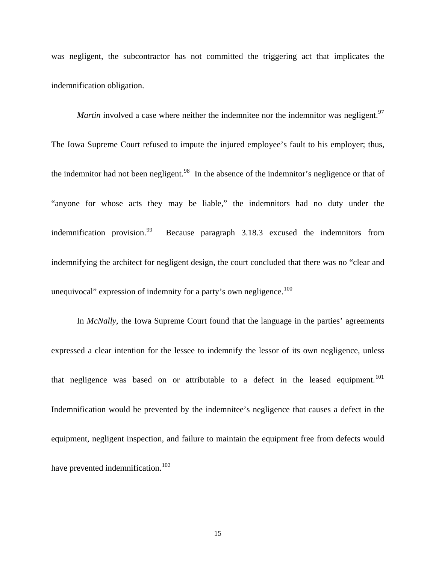was negligent, the subcontractor has not committed the triggering act that implicates the indemnification obligation.

*Martin* involved a case where neither the indemnitee nor the indemnitor was negligent.<sup>[97](#page-97-1)</sup>

The Iowa Supreme Court refused to impute the injured employee's fault to his employer; thus, the indemnitor had not been negligent.<sup>[98](#page-97-1)</sup> In the absence of the indemnitor's negligence or that of "anyone for whose acts they may be liable," the indemnitors had no duty under the indemnification provision.<sup>[99](#page-97-1)</sup> Because paragraph 3.18.3 excused the indemnitors from indemnifying the architect for negligent design, the court concluded that there was no "clear and unequivocal" expression of indemnity for a party's own negligence.<sup>[100](#page-97-1)</sup>

In *McNally*, the Iowa Supreme Court found that the language in the parties' agreements expressed a clear intention for the lessee to indemnify the lessor of its own negligence, unless that negligence was based on or attributable to a defect in the leased equipment.<sup>[101](#page-97-1)</sup> Indemnification would be prevented by the indemnitee's negligence that causes a defect in the equipment, negligent inspection, and failure to maintain the equipment free from defects would have prevented indemnification.<sup>[102](#page-97-1)</sup>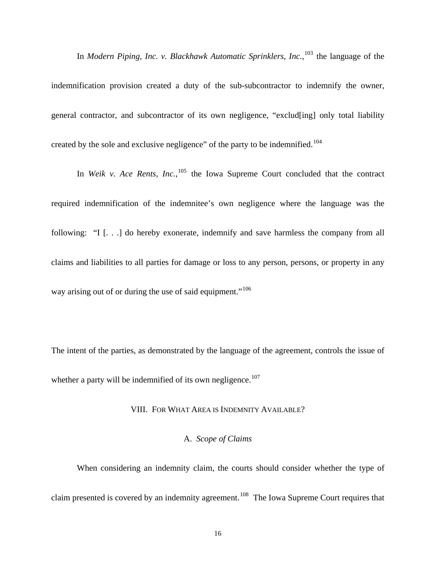indemnification provision created a duty of the sub-subcontractor to indemnify the owner, general contractor, and subcontractor of its own negligence, "exclud[ing] only total liability created by the sole and exclusive negligence" of the party to be indemnified.<sup>[104](#page-97-1)</sup>

In *Modern Piping, Inc. v. Blackhawk Automatic Sprinklers, Inc.*, [103](#page-97-1) the language of the

In *Weik v. Ace Rents, Inc.*, <sup>[105](#page-97-1)</sup> the Iowa Supreme Court concluded that the contract required indemnification of the indemnitee's own negligence where the language was the following: "I [. . .] do hereby exonerate, indemnify and save harmless the company from all claims and liabilities to all parties for damage or loss to any person, persons, or property in any way arising out of or during the use of said equipment."<sup>[106](#page-97-1)</sup>

The intent of the parties, as demonstrated by the language of the agreement, controls the issue of whether a party will be indemnified of its own negligence.<sup>[107](#page-97-1)</sup>

#### VIII. FOR WHAT AREA IS INDEMNITY AVAILABLE?

# A. *Scope of Claims*

 When considering an indemnity claim, the courts should consider whether the type of claim presented is covered by an indemnity agreement.<sup>[108](#page-97-1)</sup> The Iowa Supreme Court requires that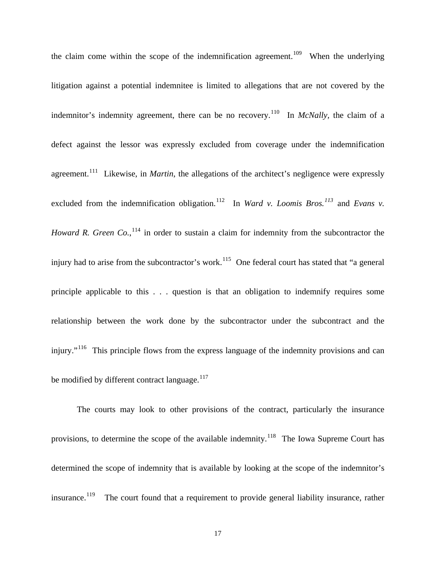the claim come within the scope of the indemnification agreement.<sup>[109](#page-97-1)</sup> When the underlying litigation against a potential indemnitee is limited to allegations that are not covered by the indemnitor's indemnity agreement, there can be no recovery.<sup>[110](#page-97-1)</sup> In *McNally*, the claim of a defect against the lessor was expressly excluded from coverage under the indemnification agreement.<sup>[111](#page-97-1)</sup> Likewise, in *Martin*, the allegations of the architect's negligence were expressly excluded from the indemnification obligation.<sup>[112](#page-97-1)</sup> In *Ward v. Loomis Bros.*<sup>[113](#page-97-1)</sup> and *Evans v. Howard R. Green Co.*, <sup>[114](#page-97-1)</sup> in order to sustain a claim for indemnity from the subcontractor the injury had to arise from the subcontractor's work.<sup>[115](#page-97-1)</sup> One federal court has stated that "a general" principle applicable to this . . . question is that an obligation to indemnify requires some relationship between the work done by the subcontractor under the subcontract and the injury."<sup>[116](#page-97-1)</sup> This principle flows from the express language of the indemnity provisions and can be modified by different contract language.<sup>[117](#page-97-1)</sup>

 The courts may look to other provisions of the contract, particularly the insurance provisions, to determine the scope of the available indemnity.<sup>[118](#page-97-1)</sup> The Iowa Supreme Court has determined the scope of indemnity that is available by looking at the scope of the indemnitor's insurance.<sup>[119](#page-97-1)</sup> The court found that a requirement to provide general liability insurance, rather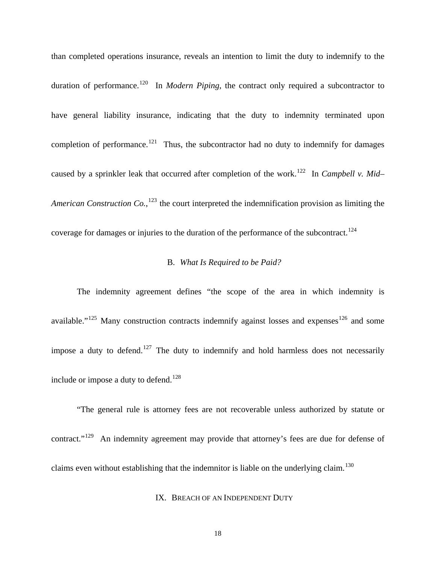than completed operations insurance, reveals an intention to limit the duty to indemnify to the duration of performance.<sup>[120](#page-97-1)</sup> In *Modern Piping*, the contract only required a subcontractor to have general liability insurance, indicating that the duty to indemnity terminated upon completion of performance.<sup>[121](#page-97-1)</sup> Thus, the subcontractor had no duty to indemnify for damages caused by a sprinkler leak that occurred after completion of the work.<sup>[122](#page-97-1)</sup> In *Campbell v. Mid*– American Construction Co.,<sup>[123](#page-97-1)</sup> the court interpreted the indemnification provision as limiting the coverage for damages or injuries to the duration of the performance of the subcontract.<sup>[124](#page-97-1)</sup>

# B. *What Is Required to be Paid?*

The indemnity agreement defines "the scope of the area in which indemnity is available."<sup>[125](#page-97-1)</sup> Many construction contracts indemnify against losses and expenses  $126$  and some impose a duty to defend.<sup>[127](#page-97-1)</sup> The duty to indemnify and hold harmless does not necessarily include or impose a duty to defend.<sup>[128](#page-97-1)</sup>

"The general rule is attorney fees are not recoverable unless authorized by statute or contract."<sup>[129](#page-97-1)</sup> An indemnity agreement may provide that attorney's fees are due for defense of claims even without establishing that the indemnitor is liable on the underlying claim.<sup>[130](#page-97-1)</sup>

IX. BREACH OF AN INDEPENDENT DUTY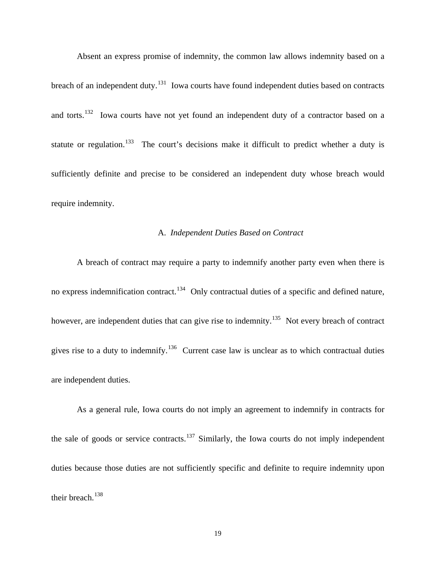Absent an express promise of indemnity, the common law allows indemnity based on a breach of an independent duty.<sup>[131](#page-97-1)</sup> Iowa courts have found independent duties based on contracts and torts.<sup>[132](#page-97-1)</sup> Iowa courts have not yet found an independent duty of a contractor based on a statute or regulation.<sup>[133](#page-97-1)</sup> The court's decisions make it difficult to predict whether a duty is sufficiently definite and precise to be considered an independent duty whose breach would require indemnity.

#### A. *Independent Duties Based on Contract*

A breach of contract may require a party to indemnify another party even when there is no express indemnification contract.<sup>[134](#page-97-1)</sup> Only contractual duties of a specific and defined nature, however, are independent duties that can give rise to indemnity.<sup>[135](#page-97-1)</sup> Not every breach of contract gives rise to a duty to indemnify.<sup>[136](#page-97-1)</sup> Current case law is unclear as to which contractual duties are independent duties.

As a general rule, Iowa courts do not imply an agreement to indemnify in contracts for the sale of goods or service contracts.<sup>[137](#page-97-1)</sup> Similarly, the Iowa courts do not imply independent duties because those duties are not sufficiently specific and definite to require indemnity upon their breach.<sup>[138](#page-97-1)</sup>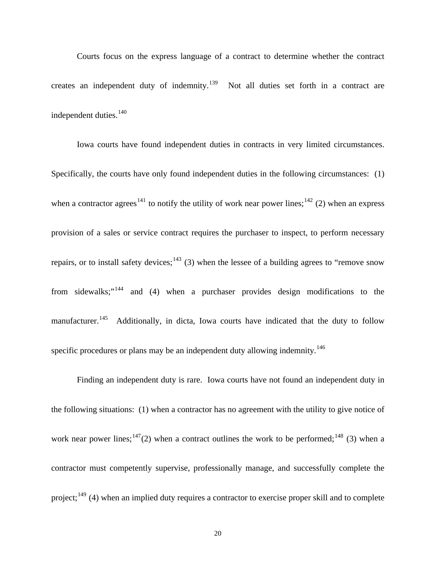Courts focus on the express language of a contract to determine whether the contract creates an independent duty of indemnity.<sup>[139](#page-97-1)</sup> Not all duties set forth in a contract are independent duties.<sup>[140](#page-97-1)</sup>

Iowa courts have found independent duties in contracts in very limited circumstances. Specifically, the courts have only found independent duties in the following circumstances: (1) when a contractor agrees<sup>[141](#page-97-1)</sup> to notify the utility of work near power lines;<sup>[142](#page-97-1)</sup> (2) when an express provision of a sales or service contract requires the purchaser to inspect, to perform necessary repairs, or to install safety devices;<sup>[143](#page-97-1)</sup> (3) when the lessee of a building agrees to "remove snow" from sidewalks;"[144](#page-97-1) and (4) when a purchaser provides design modifications to the manufacturer.<sup>[145](#page-97-1)</sup> Additionally, in dicta, Iowa courts have indicated that the duty to follow specific procedures or plans may be an independent duty allowing indemnity.<sup>[146](#page-97-1)</sup>

 Finding an independent duty is rare. Iowa courts have not found an independent duty in the following situations: (1) when a contractor has no agreement with the utility to give notice of work near power lines;<sup>[147](#page-97-1)</sup>(2) when a contract outlines the work to be performed;<sup>[148](#page-97-1)</sup> (3) when a contractor must competently supervise, professionally manage, and successfully complete the project;<sup>[149](#page-97-1)</sup> (4) when an implied duty requires a contractor to exercise proper skill and to complete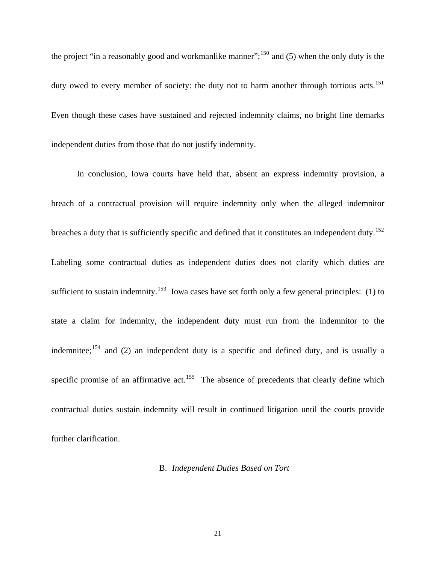the project "in a reasonably good and workmanlike manner";<sup>[150](#page-97-1)</sup> and (5) when the only duty is the duty owed to every member of society: the duty not to harm another through tortious acts.<sup>[151](#page-97-1)</sup> Even though these cases have sustained and rejected indemnity claims, no bright line demarks independent duties from those that do not justify indemnity.

In conclusion, Iowa courts have held that, absent an express indemnity provision, a breach of a contractual provision will require indemnity only when the alleged indemnitor breaches a duty that is sufficiently specific and defined that it constitutes an independent duty.<sup>[152](#page-97-1)</sup> Labeling some contractual duties as independent duties does not clarify which duties are sufficient to sustain indemnity.<sup>[153](#page-97-1)</sup> Iowa cases have set forth only a few general principles: (1) to state a claim for indemnity, the independent duty must run from the indemnitor to the indemnitee;<sup>[154](#page-97-1)</sup> and (2) an independent duty is a specific and defined duty, and is usually a specific promise of an affirmative act.<sup>[155](#page-97-1)</sup> The absence of precedents that clearly define which contractual duties sustain indemnity will result in continued litigation until the courts provide further clarification.

#### B. *Independent Duties Based on Tort*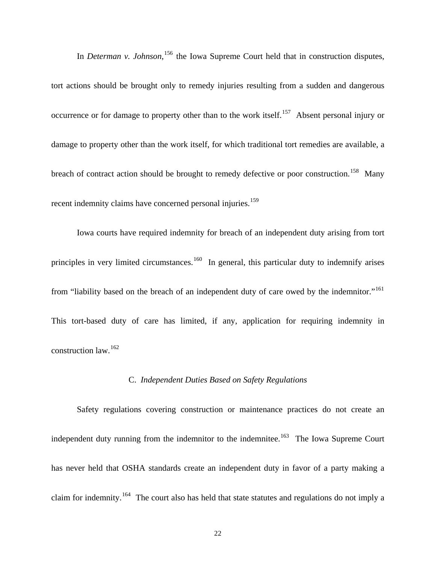In *Determan v. Johnson*<sup>[156](#page-97-1)</sup>, the Iowa Supreme Court held that in construction disputes, tort actions should be brought only to remedy injuries resulting from a sudden and dangerous occurrence or for damage to property other than to the work itself.<sup>[157](#page-97-1)</sup> Absent personal injury or damage to property other than the work itself, for which traditional tort remedies are available, a breach of contract action should be brought to remedy defective or poor construction.<sup>[158](#page-97-1)</sup> Many recent indemnity claims have concerned personal injuries.<sup>[159](#page-97-1)</sup>

Iowa courts have required indemnity for breach of an independent duty arising from tort principles in very limited circumstances.<sup>[160](#page-97-1)</sup> In general, this particular duty to indemnify arises from "liability based on the breach of an independent duty of care owed by the indemnitor."<sup>[161](#page-97-1)</sup> This tort-based duty of care has limited, if any, application for requiring indemnity in construction law.[162](#page-97-1)

### C. *Independent Duties Based on Safety Regulations*

Safety regulations covering construction or maintenance practices do not create an independent duty running from the indemnitor to the indemnitee.<sup>[163](#page-97-1)</sup> The Iowa Supreme Court has never held that OSHA standards create an independent duty in favor of a party making a claim for indemnity.[164](#page-97-1) The court also has held that state statutes and regulations do not imply a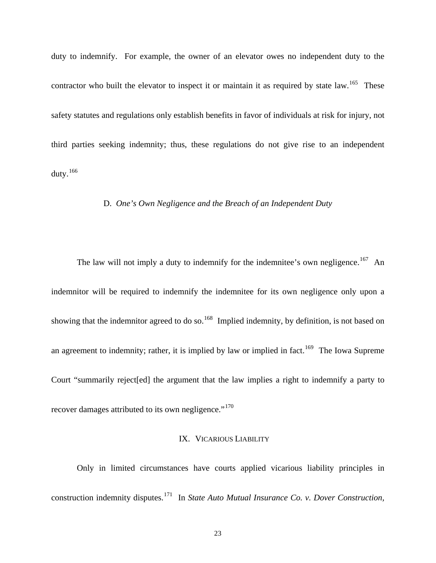duty to indemnify. For example, the owner of an elevator owes no independent duty to the contractor who built the elevator to inspect it or maintain it as required by state law.<sup>[165](#page-97-1)</sup> These safety statutes and regulations only establish benefits in favor of individuals at risk for injury, not third parties seeking indemnity; thus, these regulations do not give rise to an independent duty.[166](#page-97-1)

## D. *One's Own Negligence and the Breach of an Independent Duty*

The law will not imply a duty to indemnify for the indemnitee's own negligence.<sup>[167](#page-97-1)</sup> An indemnitor will be required to indemnify the indemnitee for its own negligence only upon a showing that the indemnitor agreed to do so.<sup>[168](#page-97-1)</sup> Implied indemnity, by definition, is not based on an agreement to indemnity; rather, it is implied by law or implied in fact.<sup>[169](#page-97-1)</sup> The Iowa Supreme Court "summarily reject[ed] the argument that the law implies a right to indemnify a party to recover damages attributed to its own negligence."<sup>[170](#page-97-1)</sup>

# IX. VICARIOUS LIABILITY

Only in limited circumstances have courts applied vicarious liability principles in construction indemnity disputes.<sup>[171](#page-97-1)</sup> In *State Auto Mutual Insurance Co. v. Dover Construction,*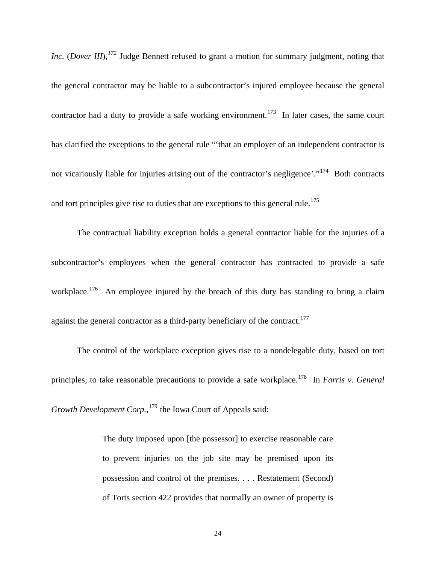*Inc.* (*Dover III*), <sup>[172](#page-97-1)</sup> Judge Bennett refused to grant a motion for summary judgment, noting that the general contractor may be liable to a subcontractor's injured employee because the general contractor had a duty to provide a safe working environment.<sup>[173](#page-97-1)</sup> In later cases, the same court has clarified the exceptions to the general rule "'that an employer of an independent contractor is not vicariously liable for injuries arising out of the contractor's negligence'."<sup>[174](#page-97-1)</sup> Both contracts and tort principles give rise to duties that are exceptions to this general rule.<sup>[175](#page-97-1)</sup>

The contractual liability exception holds a general contractor liable for the injuries of a subcontractor's employees when the general contractor has contracted to provide a safe workplace.<sup>[176](#page-97-1)</sup> An employee injured by the breach of this duty has standing to bring a claim against the general contractor as a third-party beneficiary of the contract.<sup>[177](#page-97-1)</sup>

The control of the workplace exception gives rise to a nondelegable duty, based on tort principles, to take reasonable precautions to provide a safe workplace.<sup>[178](#page-97-1)</sup> In *Farris v. General* Growth Development Corp.,<sup>[179](#page-97-1)</sup> the Iowa Court of Appeals said:

> The duty imposed upon [the possessor] to exercise reasonable care to prevent injuries on the job site may be premised upon its possession and control of the premises. . . . Restatement (Second) of Torts section 422 provides that normally an owner of property is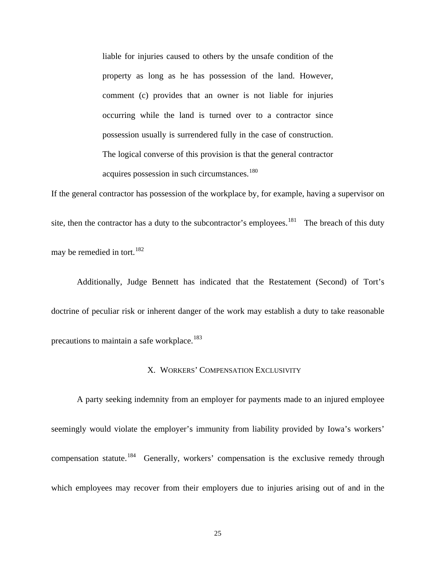liable for injuries caused to others by the unsafe condition of the property as long as he has possession of the land. However, comment (c) provides that an owner is not liable for injuries occurring while the land is turned over to a contractor since possession usually is surrendered fully in the case of construction. The logical converse of this provision is that the general contractor acquires possession in such circumstances.<sup>[180](#page-97-1)</sup>

If the general contractor has possession of the workplace by, for example, having a supervisor on site, then the contractor has a duty to the subcontractor's employees.<sup>[181](#page-97-1)</sup> The breach of this duty may be remedied in tort.<sup>[182](#page-97-1)</sup>

 Additionally, Judge Bennett has indicated that the Restatement (Second) of Tort's doctrine of peculiar risk or inherent danger of the work may establish a duty to take reasonable precautions to maintain a safe workplace.<sup>[183](#page-97-1)</sup>

### X. WORKERS' COMPENSATION EXCLUSIVITY

A party seeking indemnity from an employer for payments made to an injured employee seemingly would violate the employer's immunity from liability provided by Iowa's workers' compensation statute.<sup>[184](#page-97-1)</sup> Generally, workers' compensation is the exclusive remedy through which employees may recover from their employers due to injuries arising out of and in the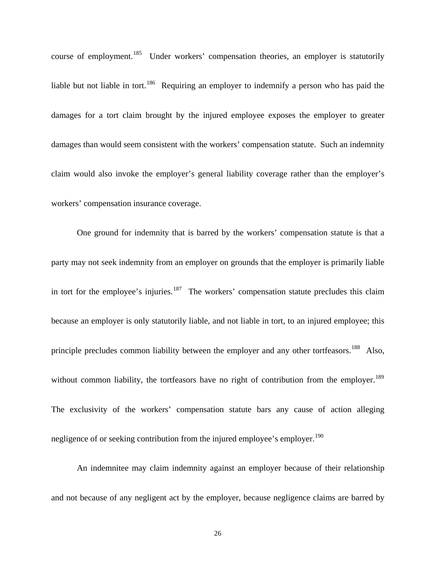course of employment.<sup>[185](#page-97-1)</sup> Under workers' compensation theories, an employer is statutorily liable but not liable in tort.<sup>[186](#page-97-1)</sup> Requiring an employer to indemnify a person who has paid the damages for a tort claim brought by the injured employee exposes the employer to greater damages than would seem consistent with the workers' compensation statute. Such an indemnity claim would also invoke the employer's general liability coverage rather than the employer's workers' compensation insurance coverage.

One ground for indemnity that is barred by the workers' compensation statute is that a party may not seek indemnity from an employer on grounds that the employer is primarily liable in tort for the employee's injuries.<sup>[187](#page-97-1)</sup> The workers' compensation statute precludes this claim because an employer is only statutorily liable, and not liable in tort, to an injured employee; this principle precludes common liability between the employer and any other tortfeasors.<sup>[188](#page-97-1)</sup> Also, without common liability, the tortfeasors have no right of contribution from the employer.<sup>[189](#page-97-1)</sup> The exclusivity of the workers' compensation statute bars any cause of action alleging negligence of or seeking contribution from the injured employee's employer.<sup>[190](#page-97-1)</sup>

An indemnitee may claim indemnity against an employer because of their relationship and not because of any negligent act by the employer, because negligence claims are barred by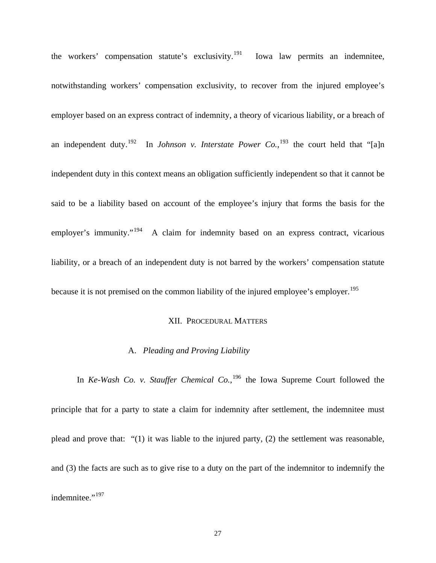the workers' compensation statute's exclusivity.<sup>[191](#page-97-1)</sup> Iowa law permits an indemnitee, notwithstanding workers' compensation exclusivity, to recover from the injured employee's employer based on an express contract of indemnity, a theory of vicarious liability, or a breach of an independent duty.<sup>[192](#page-97-1)</sup> In *Johnson v. Interstate Power Co.*,<sup>[193](#page-97-1)</sup> the court held that "[a]n independent duty in this context means an obligation sufficiently independent so that it cannot be said to be a liability based on account of the employee's injury that forms the basis for the employer's immunity."<sup>[194](#page-97-1)</sup> A claim for indemnity based on an express contract, vicarious liability, or a breach of an independent duty is not barred by the workers' compensation statute because it is not premised on the common liability of the injured employee's employer.<sup>[195](#page-97-1)</sup>

#### XII. PROCEDURAL MATTERS

#### A. *Pleading and Proving Liability*

In *Ke-Wash Co. v. Stauffer Chemical Co.*, [196](#page-97-1) the Iowa Supreme Court followed the principle that for a party to state a claim for indemnity after settlement, the indemnitee must plead and prove that: "(1) it was liable to the injured party, (2) the settlement was reasonable, and (3) the facts are such as to give rise to a duty on the part of the indemnitor to indemnify the indemnitee."<sup>[197](#page-97-1)</sup>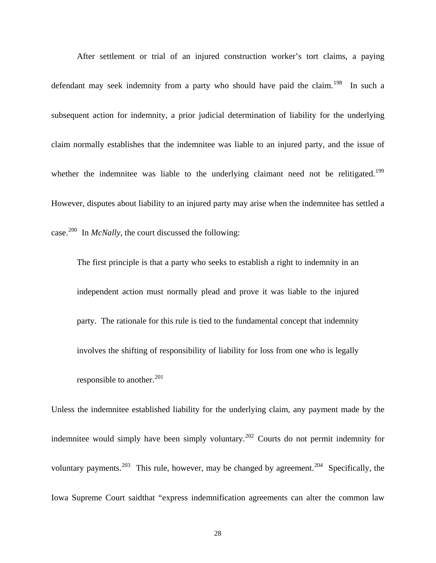After settlement or trial of an injured construction worker's tort claims, a paying defendant may seek indemnity from a party who should have paid the claim.<sup>[198](#page-97-1)</sup> In such a subsequent action for indemnity, a prior judicial determination of liability for the underlying claim normally establishes that the indemnitee was liable to an injured party, and the issue of whether the indemnitee was liable to the underlying claimant need not be relitigated.<sup>199</sup> However, disputes about liability to an injured party may arise when the indemnitee has settled a case.[200](#page-97-1) In *McNally*, the court discussed the following:

The first principle is that a party who seeks to establish a right to indemnity in an independent action must normally plead and prove it was liable to the injured party. The rationale for this rule is tied to the fundamental concept that indemnity involves the shifting of responsibility of liability for loss from one who is legally responsible to another.<sup>[201](#page-97-1)</sup>

Unless the indemnitee established liability for the underlying claim, any payment made by the indemnitee would simply have been simply voluntary.<sup>[202](#page-97-1)</sup> Courts do not permit indemnity for voluntary payments.<sup>[203](#page-97-1)</sup> This rule, however, may be changed by agreement.<sup>[204](#page-97-1)</sup> Specifically, the Iowa Supreme Court saidthat "express indemnification agreements can alter the common law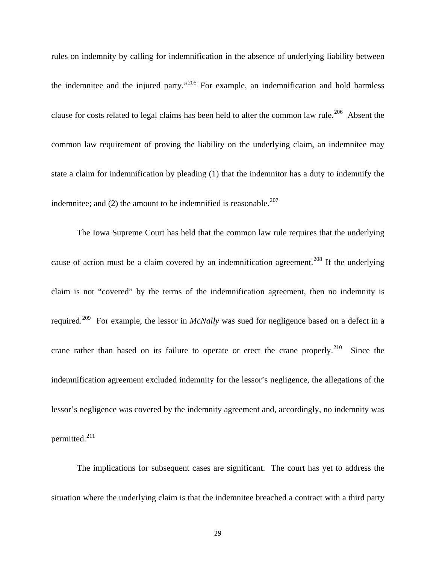rules on indemnity by calling for indemnification in the absence of underlying liability between the indemnitee and the injured party."<sup>[205](#page-97-1)</sup> For example, an indemnification and hold harmless clause for costs related to legal claims has been held to alter the common law rule.<sup>[206](#page-97-1)</sup> Absent the common law requirement of proving the liability on the underlying claim, an indemnitee may state a claim for indemnification by pleading (1) that the indemnitor has a duty to indemnify the indemnitee; and  $(2)$  the amount to be indemnified is reasonable.<sup>[207](#page-97-1)</sup>

 The Iowa Supreme Court has held that the common law rule requires that the underlying cause of action must be a claim covered by an indemnification agreement.<sup>[208](#page-97-1)</sup> If the underlying claim is not "covered" by the terms of the indemnification agreement, then no indemnity is required.[209](#page-97-1) For example, the lessor in *McNally* was sued for negligence based on a defect in a crane rather than based on its failure to operate or erect the crane properly.<sup>[210](#page-97-1)</sup> Since the indemnification agreement excluded indemnity for the lessor's negligence, the allegations of the lessor's negligence was covered by the indemnity agreement and, accordingly, no indemnity was permitted.<sup>[211](#page-97-1)</sup>

 The implications for subsequent cases are significant. The court has yet to address the situation where the underlying claim is that the indemnitee breached a contract with a third party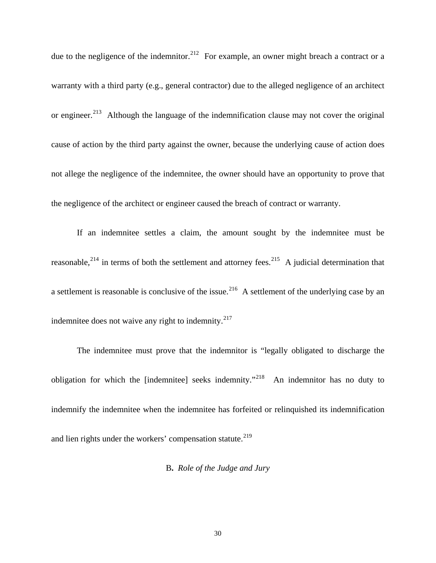due to the negligence of the indemnitor.<sup>[212](#page-97-1)</sup> For example, an owner might breach a contract or a warranty with a third party (e.g., general contractor) due to the alleged negligence of an architect or engineer.<sup>[213](#page-97-1)</sup> Although the language of the indemnification clause may not cover the original cause of action by the third party against the owner, because the underlying cause of action does not allege the negligence of the indemnitee, the owner should have an opportunity to prove that the negligence of the architect or engineer caused the breach of contract or warranty.

If an indemnitee settles a claim, the amount sought by the indemnitee must be reasonable,<sup>[214](#page-97-1)</sup> in terms of both the settlement and attorney fees.<sup>[215](#page-97-1)</sup> A judicial determination that a settlement is reasonable is conclusive of the issue.<sup>[216](#page-97-1)</sup> A settlement of the underlying case by an indemnitee does not waive any right to indemnity. $2^{17}$ 

 The indemnitee must prove that the indemnitor is "legally obligated to discharge the obligation for which the [indemnitee] seeks indemnity."[218](#page-97-1) An indemnitor has no duty to indemnify the indemnitee when the indemnitee has forfeited or relinquished its indemnification and lien rights under the workers' compensation statute.<sup>[219](#page-97-1)</sup>

B**.** *Role of the Judge and Jury*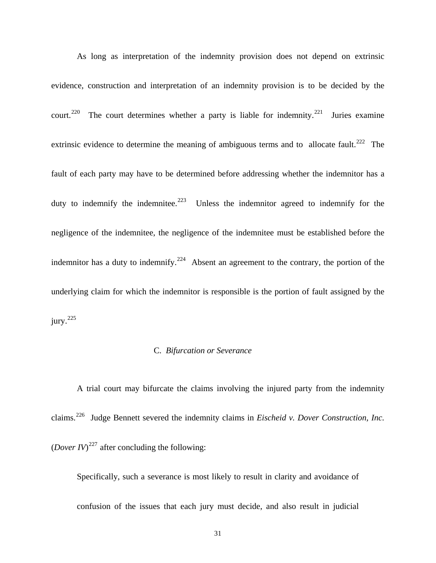As long as interpretation of the indemnity provision does not depend on extrinsic evidence, construction and interpretation of an indemnity provision is to be decided by the court.<sup>[220](#page-97-1)</sup> The court determines whether a party is liable for indemnity.<sup>[221](#page-97-1)</sup> Juries examine extrinsic evidence to determine the meaning of ambiguous terms and to allocate fault.<sup>[222](#page-97-1)</sup> The fault of each party may have to be determined before addressing whether the indemnitor has a duty to indemnify the indemnitee.<sup>[223](#page-97-1)</sup> Unless the indemnitor agreed to indemnify for the negligence of the indemnitee, the negligence of the indemnitee must be established before the indemnitor has a duty to indemnify.<sup>[224](#page-97-1)</sup> Absent an agreement to the contrary, the portion of the underlying claim for which the indemnitor is responsible is the portion of fault assigned by the  $j$ ury.<sup>[225](#page-97-1)</sup>

### C. *Bifurcation or Severance*

A trial court may bifurcate the claims involving the injured party from the indemnity claims.[226](#page-97-1) Judge Bennett severed the indemnity claims in *Eischeid v. Dover Construction, Inc.*  (*Dover IV*)<sup>[227](#page-97-1)</sup> after concluding the following:

Specifically, such a severance is most likely to result in clarity and avoidance of confusion of the issues that each jury must decide, and also result in judicial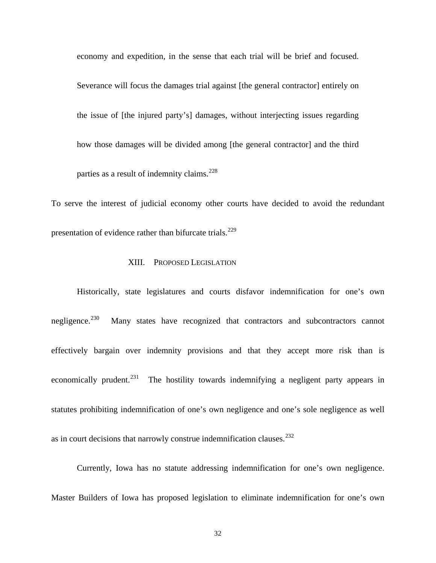economy and expedition, in the sense that each trial will be brief and focused. Severance will focus the damages trial against [the general contractor] entirely on the issue of [the injured party's] damages, without interjecting issues regarding how those damages will be divided among [the general contractor] and the third parties as a result of indemnity claims.<sup>[228](#page-97-1)</sup>

To serve the interest of judicial economy other courts have decided to avoid the redundant presentation of evidence rather than bifurcate trials.<sup>[229](#page-97-1)</sup>

## XIII. PROPOSED LEGISLATION

Historically, state legislatures and courts disfavor indemnification for one's own negligence.<sup>[230](#page-97-1)</sup> Many states have recognized that contractors and subcontractors cannot effectively bargain over indemnity provisions and that they accept more risk than is economically prudent.<sup>[231](#page-97-1)</sup> The hostility towards indemnifying a negligent party appears in statutes prohibiting indemnification of one's own negligence and one's sole negligence as well as in court decisions that narrowly construe indemnification clauses.<sup>[232](#page-97-1)</sup>

Currently, Iowa has no statute addressing indemnification for one's own negligence. Master Builders of Iowa has proposed legislation to eliminate indemnification for one's own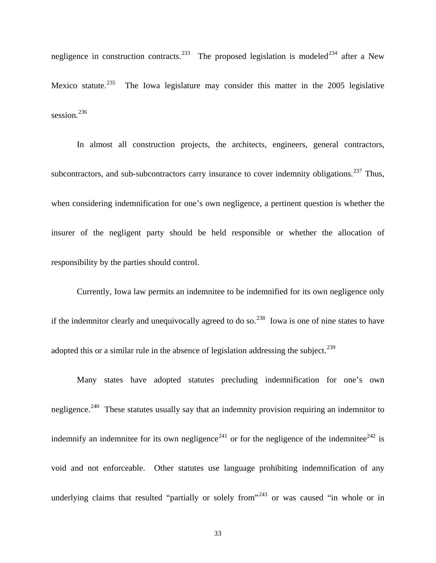negligence in construction contracts.<sup>[233](#page-97-1)</sup> The proposed legislation is modeled<sup>[234](#page-97-1)</sup> after a New Mexico statute.<sup>[235](#page-97-1)</sup> The Iowa legislature may consider this matter in the 2005 legislative session.<sup>[236](#page-97-1)</sup>

In almost all construction projects, the architects, engineers, general contractors, subcontractors, and sub-subcontractors carry insurance to cover indemnity obligations.<sup>[237](#page-97-1)</sup> Thus, when considering indemnification for one's own negligence, a pertinent question is whether the insurer of the negligent party should be held responsible or whether the allocation of responsibility by the parties should control.

Currently, Iowa law permits an indemnitee to be indemnified for its own negligence only if the indemnitor clearly and unequivocally agreed to do so.<sup>[238](#page-97-1)</sup> Iowa is one of nine states to have adopted this or a similar rule in the absence of legislation addressing the subject.<sup>[239](#page-97-1)</sup>

Many states have adopted statutes precluding indemnification for one's own negligence.<sup>[240](#page-97-1)</sup> These statutes usually say that an indemnity provision requiring an indemnitor to indemnify an indemnitee for its own negligence<sup>[241](#page-97-1)</sup> or for the negligence of the indemnitee<sup>[242](#page-97-1)</sup> is void and not enforceable. Other statutes use language prohibiting indemnification of any underlying claims that resulted "partially or solely from"<sup>[243](#page-97-1)</sup> or was caused "in whole or in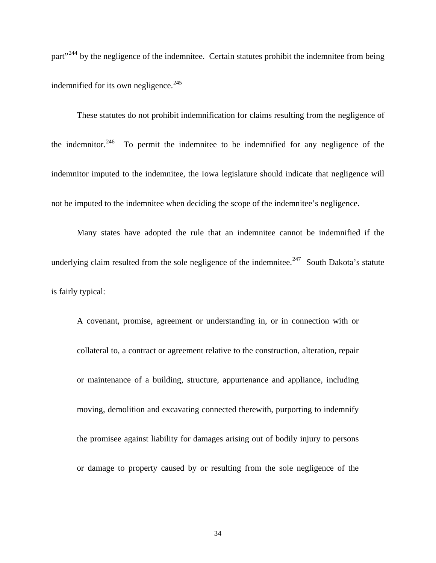part<sup>"[244](#page-97-1)</sup> by the negligence of the indemnitee. Certain statutes prohibit the indemnitee from being indemnified for its own negligence. $245$ 

These statutes do not prohibit indemnification for claims resulting from the negligence of the indemnitor.<sup>[246](#page-97-1)</sup> To permit the indemnitee to be indemnified for any negligence of the indemnitor imputed to the indemnitee, the Iowa legislature should indicate that negligence will not be imputed to the indemnitee when deciding the scope of the indemnitee's negligence.

Many states have adopted the rule that an indemnitee cannot be indemnified if the underlying claim resulted from the sole negligence of the indemnitee.<sup>[247](#page-97-1)</sup> South Dakota's statute is fairly typical:

A covenant, promise, agreement or understanding in, or in connection with or collateral to, a contract or agreement relative to the construction, alteration, repair or maintenance of a building, structure, appurtenance and appliance, including moving, demolition and excavating connected therewith, purporting to indemnify the promisee against liability for damages arising out of bodily injury to persons or damage to property caused by or resulting from the sole negligence of the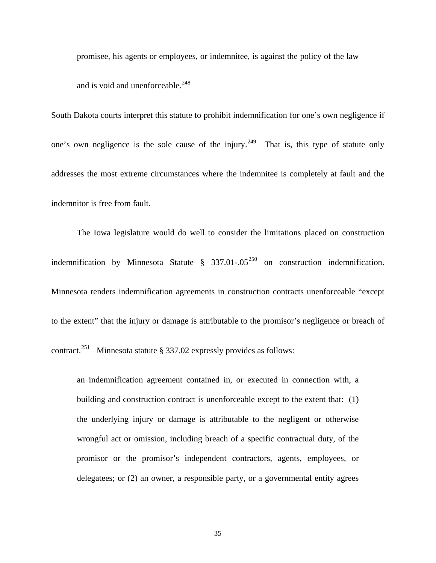promisee, his agents or employees, or indemnitee, is against the policy of the law and is void and unenforceable. $248$ 

South Dakota courts interpret this statute to prohibit indemnification for one's own negligence if one's own negligence is the sole cause of the injury.<sup>[249](#page-97-1)</sup> That is, this type of statute only addresses the most extreme circumstances where the indemnitee is completely at fault and the indemnitor is free from fault.

The Iowa legislature would do well to consider the limitations placed on construction indemnification by Minnesota Statute  $\S$  337.01-.05<sup>[250](#page-97-1)</sup> on construction indemnification. Minnesota renders indemnification agreements in construction contracts unenforceable "except to the extent" that the injury or damage is attributable to the promisor's negligence or breach of contract.<sup>[251](#page-97-1)</sup> Minnesota statute § 337.02 expressly provides as follows:

an indemnification agreement contained in, or executed in connection with, a building and construction contract is unenforceable except to the extent that: (1) the underlying injury or damage is attributable to the negligent or otherwise wrongful act or omission, including breach of a specific contractual duty, of the promisor or the promisor's independent contractors, agents, employees, or delegatees; or (2) an owner, a responsible party, or a governmental entity agrees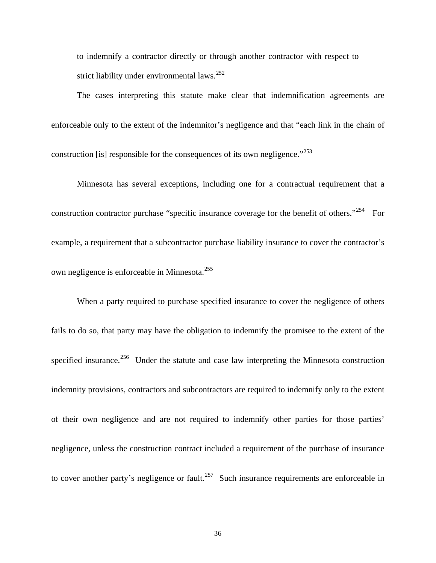to indemnify a contractor directly or through another contractor with respect to strict liability under environmental laws.<sup>[252](#page-97-1)</sup>

The cases interpreting this statute make clear that indemnification agreements are enforceable only to the extent of the indemnitor's negligence and that "each link in the chain of construction [is] responsible for the consequences of its own negligence."<sup>[253](#page-97-1)</sup>

Minnesota has several exceptions, including one for a contractual requirement that a construction contractor purchase "specific insurance coverage for the benefit of others."<sup>[254](#page-97-1)</sup> For example, a requirement that a subcontractor purchase liability insurance to cover the contractor's own negligence is enforceable in Minnesota.<sup>[255](#page-97-1)</sup>

When a party required to purchase specified insurance to cover the negligence of others fails to do so, that party may have the obligation to indemnify the promisee to the extent of the specified insurance.<sup>[256](#page-97-1)</sup> Under the statute and case law interpreting the Minnesota construction indemnity provisions, contractors and subcontractors are required to indemnify only to the extent of their own negligence and are not required to indemnify other parties for those parties' negligence, unless the construction contract included a requirement of the purchase of insurance to cover another party's negligence or fault.<sup>[257](#page-97-1)</sup> Such insurance requirements are enforceable in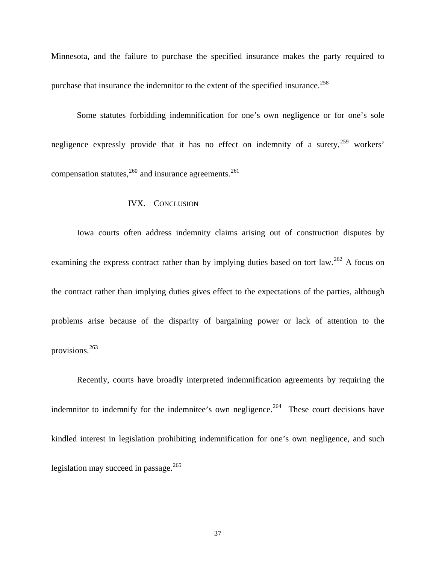Minnesota, and the failure to purchase the specified insurance makes the party required to purchase that insurance the indemnitor to the extent of the specified insurance.<sup>[258](#page-97-0)</sup>

Some statutes forbidding indemnification for one's own negligence or for one's sole negligence expressly provide that it has no effect on indemnity of a surety,  $259$  workers' compensation statutes, $260$  and insurance agreements.<sup>[261](#page-97-0)</sup>

## IVX. CONCLUSION

Iowa courts often address indemnity claims arising out of construction disputes by examining the express contract rather than by implying duties based on tort law.<sup>[262](#page-97-0)</sup> A focus on the contract rather than implying duties gives effect to the expectations of the parties, although problems arise because of the disparity of bargaining power or lack of attention to the provisions.[263](#page-97-0)

Recently, courts have broadly interpreted indemnification agreements by requiring the indemnitor to indemnify for the indemnitee's own negligence.<sup>[264](#page-97-0)</sup> These court decisions have kindled interest in legislation prohibiting indemnification for one's own negligence, and such legislation may succeed in passage. $^{265}$  $^{265}$  $^{265}$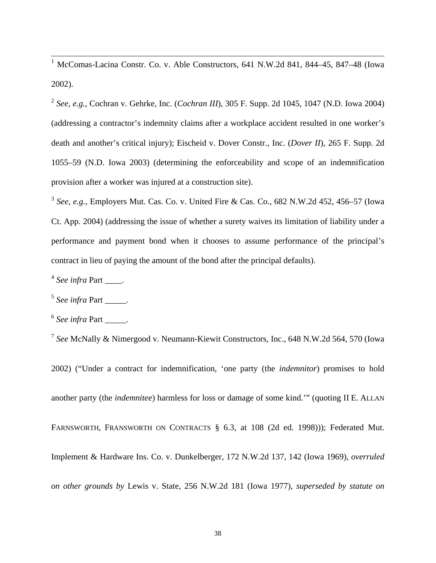1 McComas-Lacina Constr. Co. v. Able Constructors, 641 N.W.2d 841, 844–45, 847–48 (Iowa 2002).

<sup>2</sup> *See, e.g.*, Cochran v. Gehrke, Inc. (*Cochran III*), 305 F. Supp. 2d 1045, 1047 (N.D. Iowa 2004) (addressing a contractor's indemnity claims after a workplace accident resulted in one worker's death and another's critical injury); Eischeid v. Dover Constr., Inc. (*Dover II*), 265 F. Supp. 2d 1055–59 (N.D. Iowa 2003) (determining the enforceability and scope of an indemnification provision after a worker was injured at a construction site).

<sup>3</sup> *See, e.g.*, Employers Mut. Cas. Co. v. United Fire & Cas. Co., 682 N.W.2d 452, 456–57 (Iowa Ct. App. 2004) (addressing the issue of whether a surety waives its limitation of liability under a performance and payment bond when it chooses to assume performance of the principal's contract in lieu of paying the amount of the bond after the principal defaults).

<sup>4</sup> See infra Part .

 $<sup>5</sup>$  *See infra* Part \_\_\_\_\_.</sup>

<sup>6</sup> See infra Part \_\_\_\_\_.

<sup>7</sup> *See* McNally & Nimergood v. Neumann-Kiewit Constructors, Inc., 648 N.W.2d 564, 570 (Iowa

2002) ("Under a contract for indemnification, 'one party (the *indemnitor*) promises to hold another party (the *indemnitee*) harmless for loss or damage of some kind.'" (quoting II E. ALLAN FARNSWORTH, FRANSWORTH ON CONTRACTS § 6.3, at 108 (2d ed. 1998))); Federated Mut. Implement & Hardware Ins. Co. v. Dunkelberger, 172 N.W.2d 137, 142 (Iowa 1969), *overruled on other grounds by* Lewis v. State, 256 N.W.2d 181 (Iowa 1977), *superseded by statute on*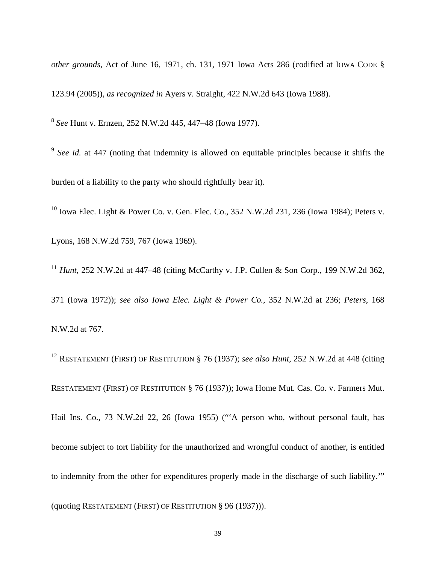*other grounds*, Act of June 16, 1971, ch. 131, 1971 Iowa Acts 286 (codified at IOWA CODE §

123.94 (2005)), *as recognized in* Ayers v. Straight, 422 N.W.2d 643 (Iowa 1988).

<sup>8</sup> *See* Hunt v. Ernzen, 252 N.W.2d 445, 447–48 (Iowa 1977).

<sup>9</sup> See id. at 447 (noting that indemnity is allowed on equitable principles because it shifts the burden of a liability to the party who should rightfully bear it).

<sup>10</sup> Iowa Elec. Light & Power Co. v. Gen. Elec. Co., 352 N.W.2d 231, 236 (Iowa 1984); Peters v.

Lyons, 168 N.W.2d 759, 767 (Iowa 1969).

 $\overline{a}$ 

<sup>11</sup> *Hunt*, 252 N.W.2d at 447–48 (citing McCarthy v. J.P. Cullen & Son Corp., 199 N.W.2d 362,

371 (Iowa 1972)); *see also Iowa Elec. Light & Power Co.*, 352 N.W.2d at 236; *Peters*, 168 N.W.2d at 767.

12 RESTATEMENT (FIRST) OF RESTITUTION § 76 (1937); *see also Hunt*, 252 N.W.2d at 448 (citing RESTATEMENT (FIRST) OF RESTITUTION § 76 (1937)); Iowa Home Mut. Cas. Co. v. Farmers Mut. Hail Ins. Co., 73 N.W.2d 22, 26 (Iowa 1955) ("'A person who, without personal fault, has become subject to tort liability for the unauthorized and wrongful conduct of another, is entitled to indemnity from the other for expenditures properly made in the discharge of such liability.'" (quoting RESTATEMENT (FIRST) OF RESTITUTION § 96 (1937))).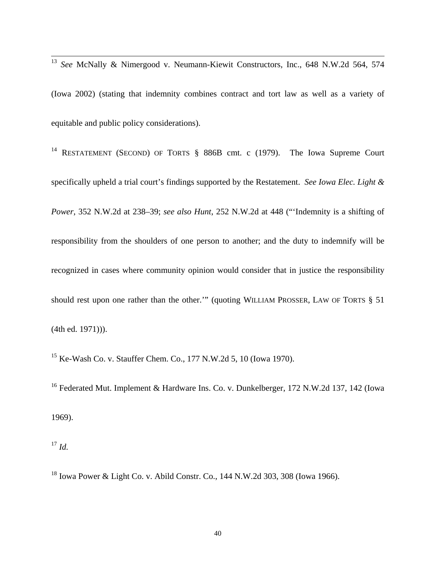<sup>13</sup> *See* McNally & Nimergood v. Neumann-Kiewit Constructors, Inc., 648 N.W.2d 564, 574 (Iowa 2002) (stating that indemnity combines contract and tort law as well as a variety of equitable and public policy considerations).

<sup>14</sup> RESTATEMENT (SECOND) OF TORTS § 886B cmt. c (1979). The Iowa Supreme Court specifically upheld a trial court's findings supported by the Restatement. *See Iowa Elec. Light & Power*, 352 N.W.2d at 238–39; *see also Hunt*, 252 N.W.2d at 448 ("'Indemnity is a shifting of responsibility from the shoulders of one person to another; and the duty to indemnify will be recognized in cases where community opinion would consider that in justice the responsibility should rest upon one rather than the other.'" (quoting WILLIAM PROSSER, LAW OF TORTS § 51 (4th ed. 1971))).

15 Ke-Wash Co. v. Stauffer Chem. Co., 177 N.W.2d 5, 10 (Iowa 1970).

<sup>16</sup> Federated Mut. Implement & Hardware Ins. Co. v. Dunkelberger, 172 N.W.2d 137, 142 (Iowa 1969).

<sup>17</sup> *Id.*

 $\overline{a}$ 

18 Iowa Power & Light Co. v. Abild Constr. Co., 144 N.W.2d 303, 308 (Iowa 1966).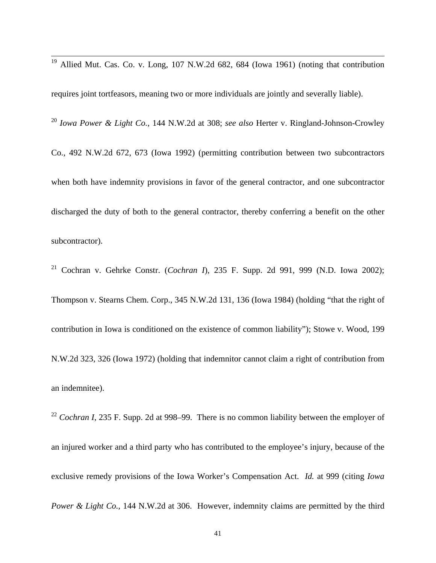<sup>19</sup> Allied Mut. Cas. Co. v. Long, 107 N.W.2d 682, 684 (Iowa 1961) (noting that contribution

 $\overline{a}$ 

requires joint tortfeasors, meaning two or more individuals are jointly and severally liable). <sup>20</sup> *Iowa Power & Light Co.*, 144 N.W.2d at 308; *see also* Herter v. Ringland-Johnson-Crowley Co., 492 N.W.2d 672, 673 (Iowa 1992) (permitting contribution between two subcontractors when both have indemnity provisions in favor of the general contractor, and one subcontractor discharged the duty of both to the general contractor, thereby conferring a benefit on the other subcontractor).

21 Cochran v. Gehrke Constr. (*Cochran I*), 235 F. Supp. 2d 991, 999 (N.D. Iowa 2002); Thompson v. Stearns Chem. Corp., 345 N.W.2d 131, 136 (Iowa 1984) (holding "that the right of contribution in Iowa is conditioned on the existence of common liability"); Stowe v. Wood, 199 N.W.2d 323, 326 (Iowa 1972) (holding that indemnitor cannot claim a right of contribution from an indemnitee).

<sup>22</sup> *Cochran I*, 235 F. Supp. 2d at 998–99. There is no common liability between the employer of an injured worker and a third party who has contributed to the employee's injury, because of the exclusive remedy provisions of the Iowa Worker's Compensation Act. *Id.* at 999 (citing *Iowa Power & Light Co.*, 144 N.W.2d at 306. However, indemnity claims are permitted by the third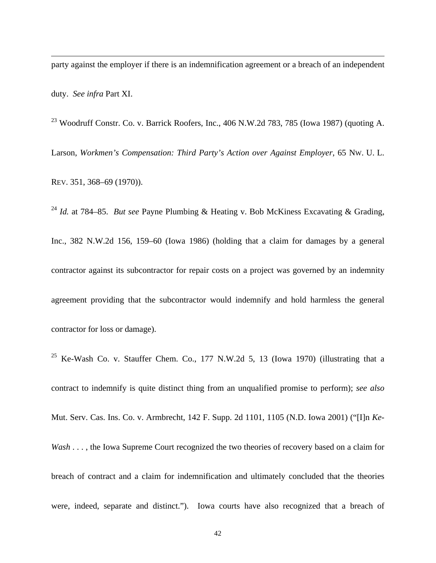party against the employer if there is an indemnification agreement or a breach of an independent duty. *See infra* Part XI.

 $\overline{a}$ 

 $^{23}$  Woodruff Constr. Co. v. Barrick Roofers, Inc., 406 N.W.2d 783, 785 (Iowa 1987) (quoting A. Larson, *Workmen's Compensation: Third Party's Action over Against Employer*, 65 NW. U. L. REV. 351, 368–69 (1970)).

<sup>24</sup> *Id.* at 784–85. *But see* Payne Plumbing & Heating v. Bob McKiness Excavating & Grading, Inc., 382 N.W.2d 156, 159–60 (Iowa 1986) (holding that a claim for damages by a general contractor against its subcontractor for repair costs on a project was governed by an indemnity agreement providing that the subcontractor would indemnify and hold harmless the general contractor for loss or damage).

<sup>25</sup> Ke-Wash Co. v. Stauffer Chem. Co., 177 N.W.2d 5, 13 (Iowa 1970) (illustrating that a contract to indemnify is quite distinct thing from an unqualified promise to perform); *see also* Mut. Serv. Cas. Ins. Co. v. Armbrecht, 142 F. Supp. 2d 1101, 1105 (N.D. Iowa 2001) ("[I]n *Ke-Wash* . . . , the Iowa Supreme Court recognized the two theories of recovery based on a claim for breach of contract and a claim for indemnification and ultimately concluded that the theories were, indeed, separate and distinct."). Iowa courts have also recognized that a breach of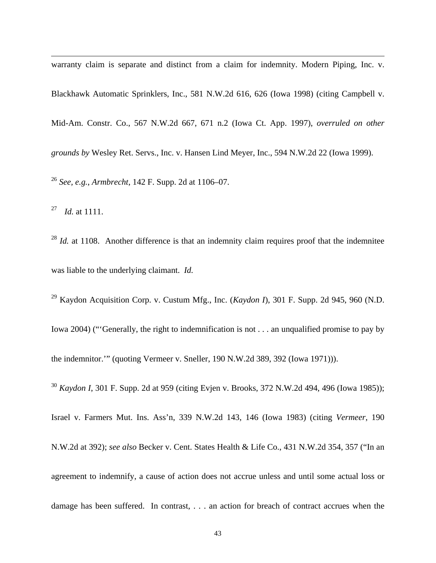warranty claim is separate and distinct from a claim for indemnity. Modern Piping, Inc. v. Blackhawk Automatic Sprinklers, Inc., 581 N.W.2d 616, 626 (Iowa 1998) (citing Campbell v. Mid-Am. Constr. Co., 567 N.W.2d 667, 671 n.2 (Iowa Ct. App. 1997), *overruled on other grounds by* Wesley Ret. Servs., Inc. v. Hansen Lind Meyer, Inc., 594 N.W.2d 22 (Iowa 1999). <sup>26</sup> *See, e.g.*, *Armbrecht*, 142 F. Supp. 2d at 1106–07.

27 *Id.* at 1111.

 $\overline{a}$ 

<sup>28</sup> *Id.* at 1108. Another difference is that an indemnity claim requires proof that the indemnitee was liable to the underlying claimant. *Id.*

29 Kaydon Acquisition Corp. v. Custum Mfg., Inc. (*Kaydon I*), 301 F. Supp. 2d 945, 960 (N.D. Iowa 2004) ("'Generally, the right to indemnification is not . . . an unqualified promise to pay by the indemnitor.'" (quoting Vermeer v. Sneller, 190 N.W.2d 389, 392 (Iowa 1971))).

<sup>30</sup> *Kaydon I*, 301 F. Supp. 2d at 959 (citing Evjen v. Brooks, 372 N.W.2d 494, 496 (Iowa 1985));

Israel v. Farmers Mut. Ins. Ass'n, 339 N.W.2d 143, 146 (Iowa 1983) (citing *Vermeer*, 190

N.W.2d at 392); *see also* Becker v. Cent. States Health & Life Co., 431 N.W.2d 354, 357 ("In an agreement to indemnify, a cause of action does not accrue unless and until some actual loss or damage has been suffered. In contrast, . . . an action for breach of contract accrues when the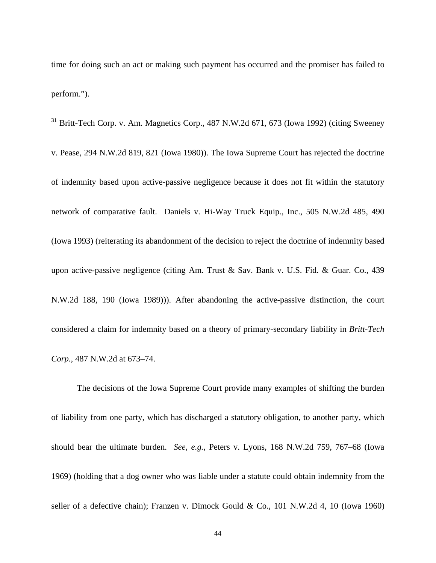time for doing such an act or making such payment has occurred and the promiser has failed to perform.").

 $\overline{a}$ 

 $31$  Britt-Tech Corp. v. Am. Magnetics Corp., 487 N.W.2d 671, 673 (Iowa 1992) (citing Sweeney v. Pease, 294 N.W.2d 819, 821 (Iowa 1980)). The Iowa Supreme Court has rejected the doctrine of indemnity based upon active-passive negligence because it does not fit within the statutory network of comparative fault. Daniels v. Hi-Way Truck Equip., Inc., 505 N.W.2d 485, 490 (Iowa 1993) (reiterating its abandonment of the decision to reject the doctrine of indemnity based upon active-passive negligence (citing Am. Trust & Sav. Bank v. U.S. Fid. & Guar. Co., 439 N.W.2d 188, 190 (Iowa 1989))). After abandoning the active-passive distinction, the court considered a claim for indemnity based on a theory of primary-secondary liability in *Britt-Tech Corp.*, 487 N.W.2d at 673–74.

 The decisions of the Iowa Supreme Court provide many examples of shifting the burden of liability from one party, which has discharged a statutory obligation, to another party, which should bear the ultimate burden. *See, e.g.,* Peters v. Lyons, 168 N.W.2d 759, 767–68 (Iowa 1969) (holding that a dog owner who was liable under a statute could obtain indemnity from the seller of a defective chain); Franzen v. Dimock Gould & Co., 101 N.W.2d 4, 10 (Iowa 1960)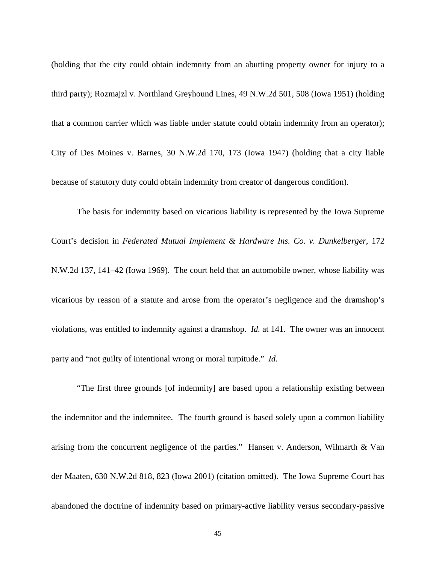(holding that the city could obtain indemnity from an abutting property owner for injury to a third party); Rozmajzl v. Northland Greyhound Lines, 49 N.W.2d 501, 508 (Iowa 1951) (holding that a common carrier which was liable under statute could obtain indemnity from an operator); City of Des Moines v. Barnes, 30 N.W.2d 170, 173 (Iowa 1947) (holding that a city liable because of statutory duty could obtain indemnity from creator of dangerous condition).

 $\overline{a}$ 

The basis for indemnity based on vicarious liability is represented by the Iowa Supreme Court's decision in *Federated Mutual Implement & Hardware Ins. Co. v. Dunkelberger*, 172 N.W.2d 137, 141–42 (Iowa 1969). The court held that an automobile owner, whose liability was vicarious by reason of a statute and arose from the operator's negligence and the dramshop's violations, was entitled to indemnity against a dramshop. *Id.* at 141. The owner was an innocent party and "not guilty of intentional wrong or moral turpitude." *Id.*

"The first three grounds [of indemnity] are based upon a relationship existing between the indemnitor and the indemnitee. The fourth ground is based solely upon a common liability arising from the concurrent negligence of the parties." Hansen v. Anderson, Wilmarth & Van der Maaten, 630 N.W.2d 818, 823 (Iowa 2001) (citation omitted). The Iowa Supreme Court has abandoned the doctrine of indemnity based on primary-active liability versus secondary-passive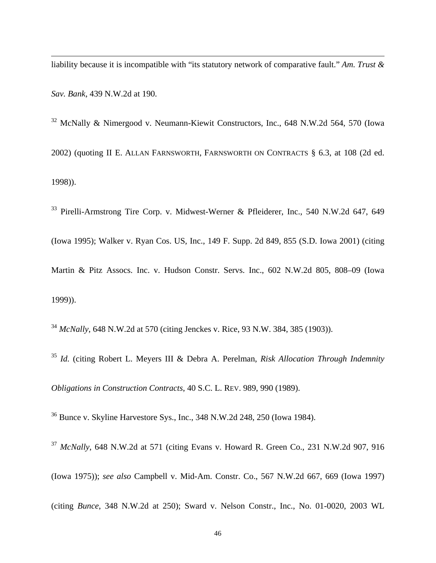$\overline{a}$ liability because it is incompatible with "its statutory network of comparative fault." *Am. Trust & Sav. Bank*, 439 N.W.2d at 190.

32 McNally & Nimergood v. Neumann-Kiewit Constructors, Inc., 648 N.W.2d 564, 570 (Iowa 2002) (quoting II E. ALLAN FARNSWORTH, FARNSWORTH ON CONTRACTS § 6.3, at 108 (2d ed. 1998)).

33 Pirelli-Armstrong Tire Corp. v. Midwest-Werner & Pfleiderer, Inc., 540 N.W.2d 647, 649 (Iowa 1995); Walker v. Ryan Cos. US, Inc., 149 F. Supp. 2d 849, 855 (S.D. Iowa 2001) (citing Martin & Pitz Assocs. Inc. v. Hudson Constr. Servs. Inc., 602 N.W.2d 805, 808–09 (Iowa 1999)).

<sup>34</sup> *McNally*, 648 N.W.2d at 570 (citing Jenckes v. Rice, 93 N.W. 384, 385 (1903)).

<sup>35</sup> *Id.* (citing Robert L. Meyers III & Debra A. Perelman, *Risk Allocation Through Indemnity Obligations in Construction Contracts*, 40 S.C. L. REV. 989, 990 (1989).

36 Bunce v. Skyline Harvestore Sys., Inc., 348 N.W.2d 248, 250 (Iowa 1984).

<sup>37</sup> *McNally*, 648 N.W.2d at 571 (citing Evans v. Howard R. Green Co., 231 N.W.2d 907, 916 (Iowa 1975)); *see also* Campbell v. Mid-Am. Constr. Co., 567 N.W.2d 667, 669 (Iowa 1997)

(citing *Bunce*, 348 N.W.2d at 250); Sward v. Nelson Constr., Inc., No. 01-0020, 2003 WL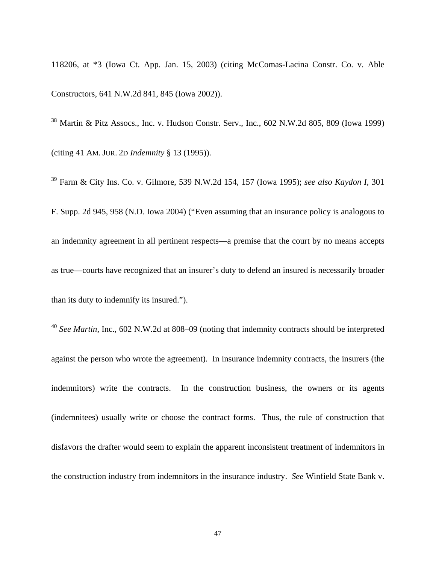118206, at \*3 (Iowa Ct. App. Jan. 15, 2003) (citing McComas-Lacina Constr. Co. v. Able Constructors, 641 N.W.2d 841, 845 (Iowa 2002)).

 $\overline{a}$ 

38 Martin & Pitz Assocs., Inc. v. Hudson Constr. Serv., Inc., 602 N.W.2d 805, 809 (Iowa 1999) (citing 41 AM. JUR. 2D *Indemnity* § 13 (1995)).

39 Farm & City Ins. Co. v. Gilmore, 539 N.W.2d 154, 157 (Iowa 1995); *see also Kaydon I*, 301 F. Supp. 2d 945, 958 (N.D. Iowa 2004) ("Even assuming that an insurance policy is analogous to an indemnity agreement in all pertinent respects—a premise that the court by no means accepts as true—courts have recognized that an insurer's duty to defend an insured is necessarily broader than its duty to indemnify its insured.").

<sup>40</sup> *See Martin*, Inc., 602 N.W.2d at 808–09 (noting that indemnity contracts should be interpreted against the person who wrote the agreement). In insurance indemnity contracts, the insurers (the indemnitors) write the contracts. In the construction business, the owners or its agents (indemnitees) usually write or choose the contract forms. Thus, the rule of construction that disfavors the drafter would seem to explain the apparent inconsistent treatment of indemnitors in the construction industry from indemnitors in the insurance industry. *See* Winfield State Bank v.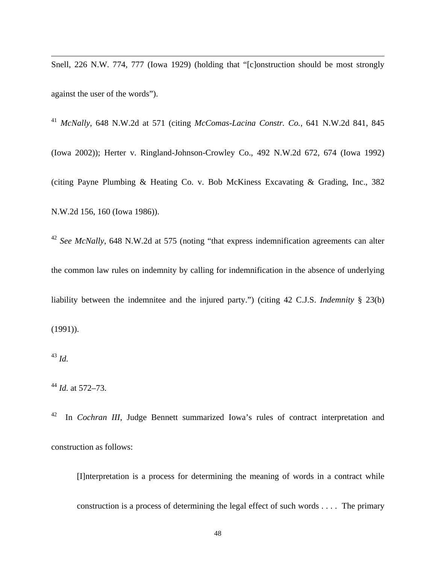Snell, 226 N.W. 774, 777 (Iowa 1929) (holding that "[c]onstruction should be most strongly against the user of the words").

<sup>41</sup> *McNally*, 648 N.W.2d at 571 (citing *McComas-Lacina Constr. Co.*, 641 N.W.2d 841, 845 (Iowa 2002)); Herter v. Ringland-Johnson-Crowley Co., 492 N.W.2d 672, 674 (Iowa 1992) (citing Payne Plumbing & Heating Co. v. Bob McKiness Excavating & Grading, Inc., 382 N.W.2d 156, 160 (Iowa 1986)).

<sup>42</sup> *See McNally*, 648 N.W.2d at 575 (noting "that express indemnification agreements can alter the common law rules on indemnity by calling for indemnification in the absence of underlying liability between the indemnitee and the injured party.") (citing 42 C.J.S. *Indemnity* § 23(b) (1991)).

 $\overline{a}$ 

42 In *Cochran III*, Judge Bennett summarized Iowa's rules of contract interpretation and construction as follows:

[I]nterpretation is a process for determining the meaning of words in a contract while construction is a process of determining the legal effect of such words . . . . The primary

<sup>43</sup> *Id.*

<sup>44</sup> *Id.* at 572–73.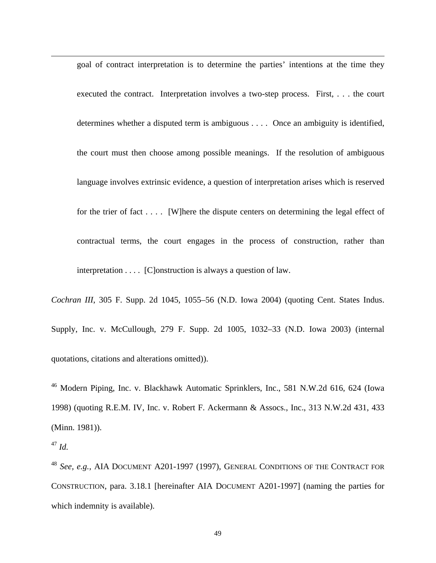goal of contract interpretation is to determine the parties' intentions at the time they executed the contract. Interpretation involves a two-step process. First, . . . the court determines whether a disputed term is ambiguous . . . . Once an ambiguity is identified, the court must then choose among possible meanings. If the resolution of ambiguous language involves extrinsic evidence, a question of interpretation arises which is reserved for the trier of fact . . . . [W]here the dispute centers on determining the legal effect of contractual terms, the court engages in the process of construction, rather than interpretation . . . . [C]onstruction is always a question of law.

*Cochran III*, 305 F. Supp. 2d 1045, 1055–56 (N.D. Iowa 2004) (quoting Cent. States Indus. Supply, Inc. v. McCullough, 279 F. Supp. 2d 1005, 1032–33 (N.D. Iowa 2003) (internal quotations, citations and alterations omitted)).

<sup>46</sup> Modern Piping, Inc. v. Blackhawk Automatic Sprinklers, Inc., 581 N.W.2d 616, 624 (Iowa 1998) (quoting R.E.M. IV, Inc. v. Robert F. Ackermann & Assocs., Inc., 313 N.W.2d 431, 433 (Minn. 1981)).

 $\overline{a}$ 

<sup>48</sup> *See, e.g.,* AIA DOCUMENT A201-1997 (1997), GENERAL CONDITIONS OF THE CONTRACT FOR CONSTRUCTION, para. 3.18.1 [hereinafter AIA DOCUMENT A201-1997] (naming the parties for which indemnity is available).

<sup>47</sup> *Id.*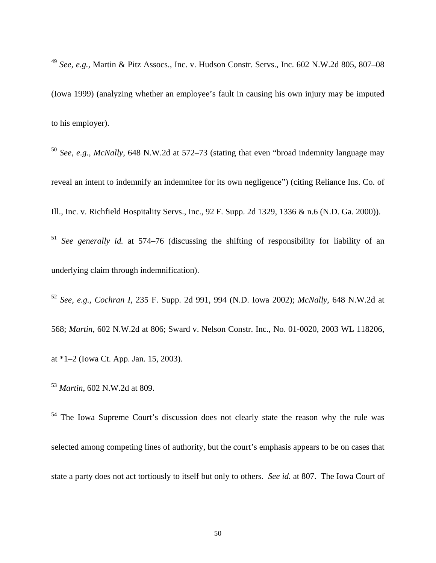<sup>49</sup> *See, e.g.,* Martin & Pitz Assocs., Inc. v. Hudson Constr. Servs., Inc. 602 N.W.2d 805, 807–08 (Iowa 1999) (analyzing whether an employee's fault in causing his own injury may be imputed to his employer).

<sup>50</sup> *See, e.g., McNally*, 648 N.W.2d at 572–73 (stating that even "broad indemnity language may reveal an intent to indemnify an indemnitee for its own negligence") (citing Reliance Ins. Co. of Ill., Inc. v. Richfield Hospitality Servs., Inc., 92 F. Supp. 2d 1329, 1336 & n.6 (N.D. Ga. 2000)).

<sup>51</sup> *See generally id.* at 574–76 (discussing the shifting of responsibility for liability of an underlying claim through indemnification).

<sup>52</sup> *See, e.g., Cochran I*, 235 F. Supp. 2d 991, 994 (N.D. Iowa 2002); *McNally*, 648 N.W.2d at 568; *Martin*, 602 N.W.2d at 806; Sward v. Nelson Constr. Inc., No. 01-0020, 2003 WL 118206, at \*1–2 (Iowa Ct. App. Jan. 15, 2003).

<sup>53</sup> *Martin*, 602 N.W.2d at 809.

 $\overline{a}$ 

<sup>54</sup> The Iowa Supreme Court's discussion does not clearly state the reason why the rule was selected among competing lines of authority, but the court's emphasis appears to be on cases that state a party does not act tortiously to itself but only to others. *See id.* at 807. The Iowa Court of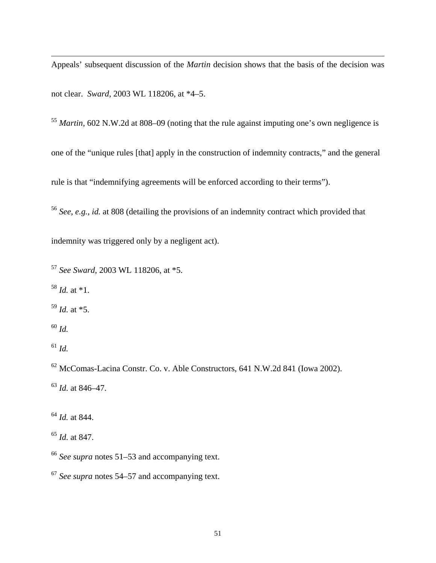Appeals' subsequent discussion of the *Martin* decision shows that the basis of the decision was not clear. *Sward*, 2003 WL 118206, at \*4–5.

 *Martin*, 602 N.W.2d at 808–09 (noting that the rule against imputing one's own negligence is one of the "unique rules [that] apply in the construction of indemnity contracts," and the general rule is that "indemnifying agreements will be enforced according to their terms").

*See*, *e.g.*, *id.* at 808 (detailing the provisions of an indemnity contract which provided that

indemnity was triggered only by a negligent act).

*See Sward*, 2003 WL 118206, at \*5.

 *Id.* at \*1.

*Id.* at \*5.

*Id.* 

 $\overline{a}$ 

*Id.* 

62 McComas-Lacina Constr. Co. v. Able Constructors, 641 N.W.2d 841 (Iowa 2002).

*Id.* at 846–47.

*Id.* at 844.

*Id.* at 847.

*See supra* notes 51–53 and accompanying text.

*See supra* notes 54–57 and accompanying text.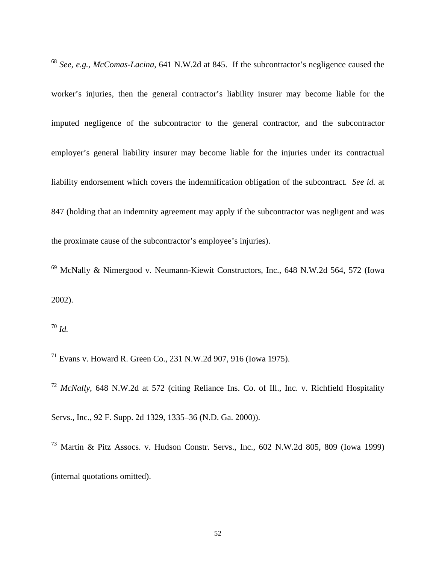<sup>68</sup> *See, e.g., McComas-Lacina*, 641 N.W.2d at 845. If the subcontractor's negligence caused the

worker's injuries, then the general contractor's liability insurer may become liable for the imputed negligence of the subcontractor to the general contractor, and the subcontractor employer's general liability insurer may become liable for the injuries under its contractual liability endorsement which covers the indemnification obligation of the subcontract. *See id.* at 847 (holding that an indemnity agreement may apply if the subcontractor was negligent and was the proximate cause of the subcontractor's employee's injuries).

69 McNally & Nimergood v. Neumann-Kiewit Constructors, Inc., 648 N.W.2d 564, 572 (Iowa 2002).

<sup>70</sup> *Id.* 

 $\overline{a}$ 

71 Evans v. Howard R. Green Co., 231 N.W.2d 907, 916 (Iowa 1975).

<sup>72</sup> *McNally*, 648 N.W.2d at 572 (citing Reliance Ins. Co. of Ill., Inc. v. Richfield Hospitality Servs., Inc., 92 F. Supp. 2d 1329, 1335–36 (N.D. Ga. 2000)).

73 Martin & Pitz Assocs. v. Hudson Constr. Servs., Inc., 602 N.W.2d 805, 809 (Iowa 1999) (internal quotations omitted).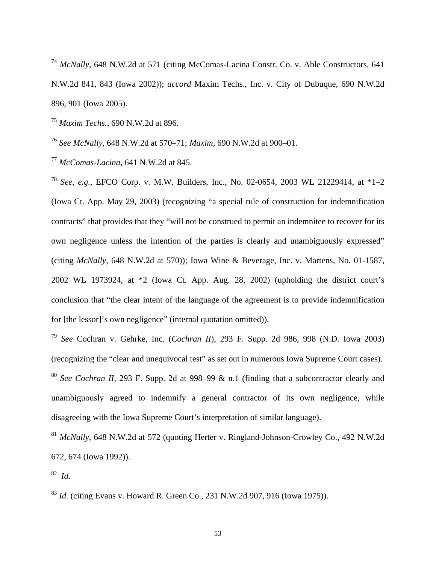<sup>74</sup> *McNally*, 648 N.W.2d at 571 (citing McComas-Lacina Constr. Co. v. Able Constructors, 641 N.W.2d 841, 843 (Iowa 2002)); *accord* Maxim Techs., Inc. v. City of Dubuque, 690 N.W.2d 896, 901 (Iowa 2005).

<sup>75</sup> *Maxim Techs.*, 690 N.W.2d at 896.

 $\overline{a}$ 

<sup>76</sup> *See McNally*, 648 N.W.2d at 570–71; *Maxim*, 690 N.W.2d at 900–01.

<sup>77</sup> *McComas-Lacina*, 641 N.W.2d at 845.

<sup>78</sup> *See, e.g.*, EFCO Corp. v. M.W. Builders, Inc., No. 02-0654, 2003 WL 21229414, at \*1–2 (Iowa Ct. App. May 29, 2003) (recognizing "a special rule of construction for indemnification contracts" that provides that they "will not be construed to permit an indemnitee to recover for its own negligence unless the intention of the parties is clearly and unambiguously expressed" (citing *McNally*, 648 N.W.2d at 570)); Iowa Wine & Beverage, Inc. v. Martens, No. 01-1587, 2002 WL 1973924, at \*2 (Iowa Ct. App. Aug. 28, 2002) (upholding the district court's conclusion that "the clear intent of the language of the agreement is to provide indemnification for [the lessor]'s own negligence" (internal quotation omitted)).

<sup>79</sup> *See* Cochran v. Gehrke, Inc. (*Cochran II*), 293 F. Supp. 2d 986, 998 (N.D. Iowa 2003) (recognizing the "clear and unequivocal test" as set out in numerous Iowa Supreme Court cases). <sup>80</sup> *See Cochran II*, 293 F. Supp. 2d at 998–99 & n.1 (finding that a subcontractor clearly and unambiguously agreed to indemnify a general contractor of its own negligence, while disagreeing with the Iowa Supreme Court's interpretation of similar language).

<sup>81</sup> *McNally*, 648 N.W.2d at 572 (quoting Herter v. Ringland-Johnson-Crowley Co., 492 N.W.2d 672, 674 (Iowa 1992)).

82 *Id.*

<sup>83</sup> *Id.* (citing Evans v. Howard R. Green Co., 231 N.W.2d 907, 916 (Iowa 1975)).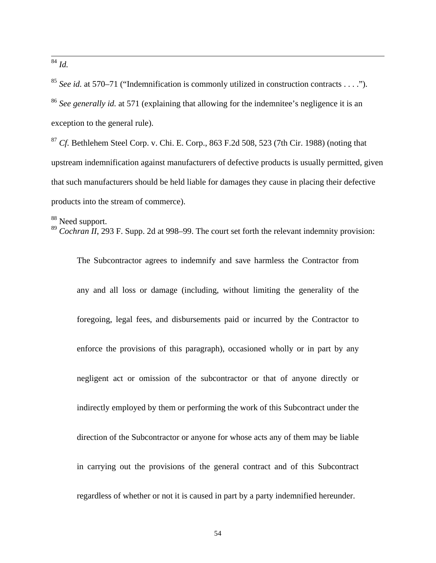<sup>84</sup> *Id.* 

 $\overline{a}$ 

<sup>85</sup> *See id.* at 570–71 ("Indemnification is commonly utilized in construction contracts . . . ."). <sup>86</sup> *See generally id.* at 571 (explaining that allowing for the indemnitee's negligence it is an exception to the general rule).

<sup>87</sup> *Cf.* Bethlehem Steel Corp. v. Chi. E. Corp., 863 F.2d 508, 523 (7th Cir. 1988) (noting that upstream indemnification against manufacturers of defective products is usually permitted, given that such manufacturers should be held liable for damages they cause in placing their defective products into the stream of commerce).

<sup>88</sup> Need support.

<sup>89</sup> *Cochran II*, 293 F. Supp. 2d at 998–99. The court set forth the relevant indemnity provision:

The Subcontractor agrees to indemnify and save harmless the Contractor from any and all loss or damage (including, without limiting the generality of the foregoing, legal fees, and disbursements paid or incurred by the Contractor to enforce the provisions of this paragraph), occasioned wholly or in part by any negligent act or omission of the subcontractor or that of anyone directly or indirectly employed by them or performing the work of this Subcontract under the direction of the Subcontractor or anyone for whose acts any of them may be liable in carrying out the provisions of the general contract and of this Subcontract regardless of whether or not it is caused in part by a party indemnified hereunder.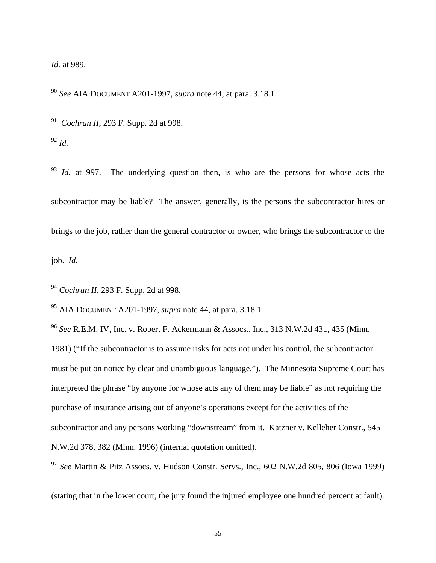*Id.* at 989.

 $\overline{a}$ 

<sup>90</sup> *See* AIA DOCUMENT A201-1997, *supra* note 44, at para. 3.18.1.

91 *Cochran II*, 293 F. Supp. 2d at 998.

<sup>92</sup> *Id.*

<sup>93</sup> *Id.* at 997. The underlying question then, is who are the persons for whose acts the subcontractor may be liable? The answer, generally, is the persons the subcontractor hires or brings to the job, rather than the general contractor or owner, who brings the subcontractor to the

job. *Id.*

<sup>94</sup> *Cochran II*, 293 F. Supp. 2d at 998.

95 AIA DOCUMENT A201-1997, *supra* note 44, at para. 3.18.1

<sup>96</sup> *See* R.E.M. IV, Inc. v. Robert F. Ackermann & Assocs., Inc., 313 N.W.2d 431, 435 (Minn. 1981) ("If the subcontractor is to assume risks for acts not under his control, the subcontractor must be put on notice by clear and unambiguous language."). The Minnesota Supreme Court has interpreted the phrase "by anyone for whose acts any of them may be liable" as not requiring the purchase of insurance arising out of anyone's operations except for the activities of the subcontractor and any persons working "downstream" from it. Katzner v. Kelleher Constr.*,* 545 N.W.2d 378, 382 (Minn. 1996) (internal quotation omitted).

<sup>97</sup> *See* Martin & Pitz Assocs. v. Hudson Constr. Servs., Inc., 602 N.W.2d 805, 806 (Iowa 1999)

(stating that in the lower court, the jury found the injured employee one hundred percent at fault).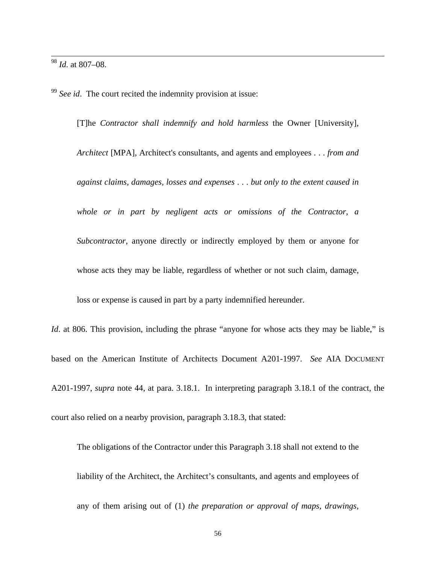<sup>98</sup> *Id.* at 807–08.

 $\overline{a}$ 

<sup>99</sup> *See id*. The court recited the indemnity provision at issue:

[T]he *Contractor shall indemnify and hold harmless* the Owner [University], *Architect* [MPA], Architect's consultants, and agents and employees . . . *from and against claims, damages, losses and expenses* . . . *but only to the extent caused in whole or in part by negligent acts or omissions of the Contractor, a Subcontractor*, anyone directly or indirectly employed by them or anyone for whose acts they may be liable, regardless of whether or not such claim, damage,

*Id.* at 806. This provision, including the phrase "anyone for whose acts they may be liable," is based on the American Institute of Architects Document A201-1997. *See* AIA DOCUMENT A201-1997, *supra* note 44, at para. 3.18.1. In interpreting paragraph 3.18.1 of the contract, the court also relied on a nearby provision, paragraph 3.18.3, that stated:

loss or expense is caused in part by a party indemnified hereunder.

The obligations of the Contractor under this Paragraph 3.18 shall not extend to the liability of the Architect, the Architect's consultants, and agents and employees of any of them arising out of (1) *the preparation or approval of maps, drawings,*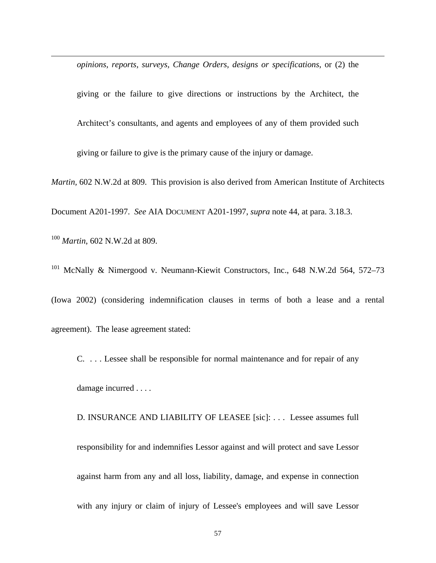*opinions, reports, surveys, Change Orders, designs or specifications*, or (2) the

giving or the failure to give directions or instructions by the Architect, the Architect's consultants, and agents and employees of any of them provided such giving or failure to give is the primary cause of the injury or damage.

*Martin,* 602 N.W.2d at 809. This provision is also derived from American Institute of Architects

Document A201-1997. *See* AIA DOCUMENT A201-1997, *supra* note 44, at para. 3.18.3.

<sup>100</sup> *Martin*, 602 N.W.2d at 809.

 $\overline{a}$ 

<sup>101</sup> McNally & Nimergood v. Neumann-Kiewit Constructors, Inc., 648 N.W.2d 564, 572–73

(Iowa 2002) (considering indemnification clauses in terms of both a lease and a rental agreement). The lease agreement stated:

C. . . . Lessee shall be responsible for normal maintenance and for repair of any damage incurred . . . .

D. INSURANCE AND LIABILITY OF LEASEE [sic]: . . . Lessee assumes full responsibility for and indemnifies Lessor against and will protect and save Lessor against harm from any and all loss, liability, damage, and expense in connection with any injury or claim of injury of Lessee's employees and will save Lessor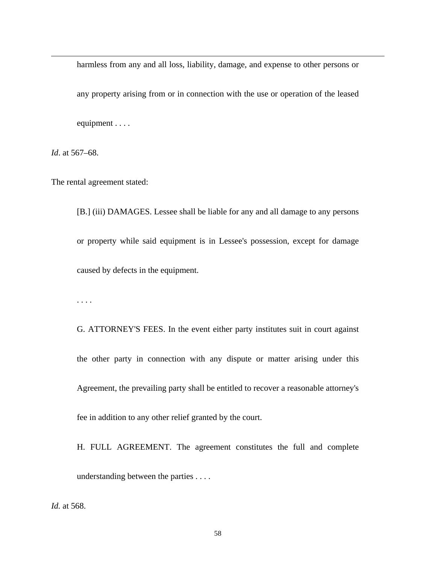harmless from any and all loss, liability, damage, and expense to other persons or

any property arising from or in connection with the use or operation of the leased equipment . . . .

*Id*. at 567–68.

 $\overline{a}$ 

The rental agreement stated:

[B.] (iii) DAMAGES. Lessee shall be liable for any and all damage to any persons or property while said equipment is in Lessee's possession, except for damage caused by defects in the equipment.

. . . .

G. ATTORNEY'S FEES. In the event either party institutes suit in court against the other party in connection with any dispute or matter arising under this Agreement, the prevailing party shall be entitled to recover a reasonable attorney's fee in addition to any other relief granted by the court.

H. FULL AGREEMENT. The agreement constitutes the full and complete understanding between the parties . . . .

*Id.* at 568.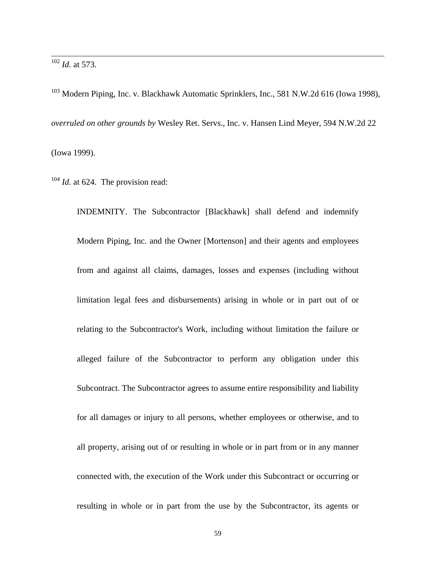<sup>102</sup> *Id.* at 573.

 $\overline{a}$ 

 $103$  Modern Piping, Inc. v. Blackhawk Automatic Sprinklers, Inc., 581 N.W.2d 616 (Iowa 1998), *overruled on other grounds by* Wesley Ret. Servs., Inc. v. Hansen Lind Meyer, 594 N.W.2d 22 (Iowa 1999).

<sup>104</sup> *Id.* at 624. The provision read:

INDEMNITY. The Subcontractor [Blackhawk] shall defend and indemnify Modern Piping, Inc. and the Owner [Mortenson] and their agents and employees from and against all claims, damages, losses and expenses (including without limitation legal fees and disbursements) arising in whole or in part out of or relating to the Subcontractor's Work, including without limitation the failure or alleged failure of the Subcontractor to perform any obligation under this Subcontract. The Subcontractor agrees to assume entire responsibility and liability for all damages or injury to all persons, whether employees or otherwise, and to all property, arising out of or resulting in whole or in part from or in any manner connected with, the execution of the Work under this Subcontract or occurring or resulting in whole or in part from the use by the Subcontractor, its agents or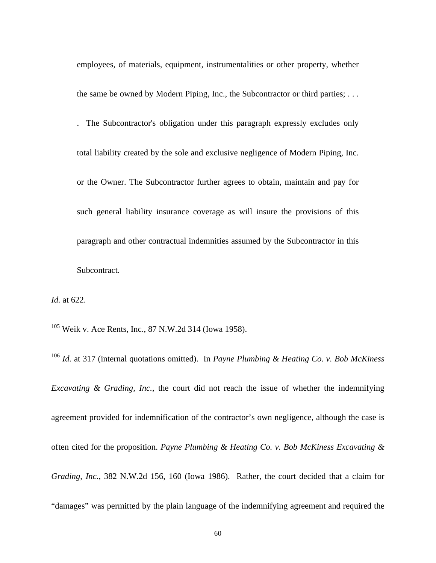employees, of materials, equipment, instrumentalities or other property, whether the same be owned by Modern Piping, Inc., the Subcontractor or third parties; . . . . The Subcontractor's obligation under this paragraph expressly excludes only total liability created by the sole and exclusive negligence of Modern Piping, Inc. or the Owner. The Subcontractor further agrees to obtain, maintain and pay for such general liability insurance coverage as will insure the provisions of this paragraph and other contractual indemnities assumed by the Subcontractor in this Subcontract.

*Id.* at 622.

 $\overline{a}$ 

105 Weik v. Ace Rents, Inc., 87 N.W.2d 314 (Iowa 1958).

<sup>106</sup> *Id.* at 317 (internal quotations omitted). In *Payne Plumbing & Heating Co. v. Bob McKiness Excavating & Grading, Inc.*, the court did not reach the issue of whether the indemnifying agreement provided for indemnification of the contractor's own negligence, although the case is often cited for the proposition. *Payne Plumbing & Heating Co. v. Bob McKiness Excavating & Grading, Inc.*, 382 N.W.2d 156, 160 (Iowa 1986). Rather, the court decided that a claim for "damages" was permitted by the plain language of the indemnifying agreement and required the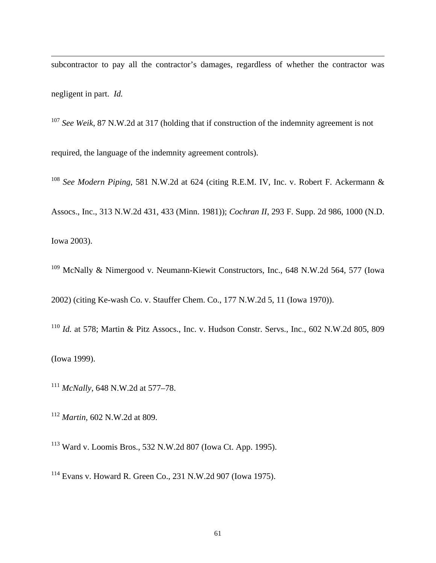subcontractor to pay all the contractor's damages, regardless of whether the contractor was negligent in part. *Id.* 

<sup>107</sup> *See Weik*, 87 N.W.2d at 317 (holding that if construction of the indemnity agreement is not required, the language of the indemnity agreement controls).

<sup>108</sup> *See Modern Piping*, 581 N.W.2d at 624 (citing R.E.M. IV, Inc. v. Robert F. Ackermann & Assocs., Inc., 313 N.W.2d 431, 433 (Minn. 1981)); *Cochran II*, 293 F. Supp. 2d 986, 1000 (N.D. Iowa 2003).

<sup>109</sup> McNally & Nimergood v. Neumann-Kiewit Constructors, Inc., 648 N.W.2d 564, 577 (Iowa 2002) (citing Ke-wash Co. v. Stauffer Chem. Co., 177 N.W.2d 5, 11 (Iowa 1970)).

<sup>110</sup> *Id.* at 578; Martin & Pitz Assocs., Inc. v. Hudson Constr. Servs., Inc., 602 N.W.2d 805, 809 (Iowa 1999).

<sup>111</sup> *McNally*, 648 N.W.2d at 577–78.

<sup>112</sup> *Martin*, 602 N.W.2d at 809.

 $\overline{a}$ 

113 Ward v. Loomis Bros., 532 N.W.2d 807 (Iowa Ct. App. 1995).

114 Evans v. Howard R. Green Co., 231 N.W.2d 907 (Iowa 1975).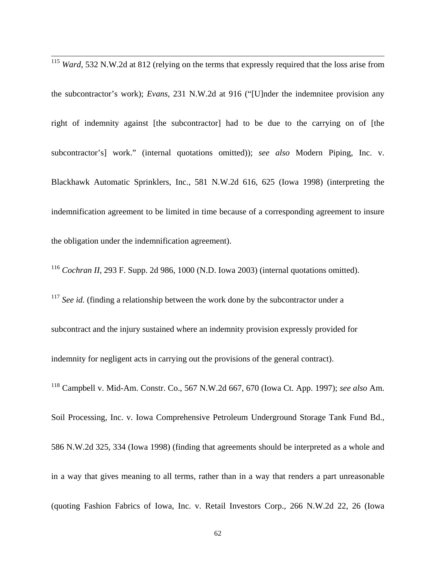<sup>115</sup> *Ward*, 532 N.W.2d at 812 (relying on the terms that expressly required that the loss arise from the subcontractor's work); *Evans,* 231 N.W.2d at 916 ("[U]nder the indemnitee provision any right of indemnity against [the subcontractor] had to be due to the carrying on of [the subcontractor's] work." (internal quotations omitted)); *see also* Modern Piping, Inc. v. Blackhawk Automatic Sprinklers, Inc., 581 N.W.2d 616, 625 (Iowa 1998) (interpreting the indemnification agreement to be limited in time because of a corresponding agreement to insure the obligation under the indemnification agreement).

 $\overline{a}$ 

<sup>116</sup> *Cochran II*, 293 F. Supp. 2d 986, 1000 (N.D. Iowa 2003) (internal quotations omitted).

<sup>117</sup> *See id.* (finding a relationship between the work done by the subcontractor under a subcontract and the injury sustained where an indemnity provision expressly provided for indemnity for negligent acts in carrying out the provisions of the general contract).

118 Campbell v. Mid-Am. Constr. Co., 567 N.W.2d 667, 670 (Iowa Ct. App. 1997); *see also* Am.

Soil Processing, Inc. v. Iowa Comprehensive Petroleum Underground Storage Tank Fund Bd., 586 N.W.2d 325, 334 (Iowa 1998) (finding that agreements should be interpreted as a whole and in a way that gives meaning to all terms, rather than in a way that renders a part unreasonable (quoting Fashion Fabrics of Iowa, Inc. v. Retail Investors Corp., 266 N.W.2d 22, 26 (Iowa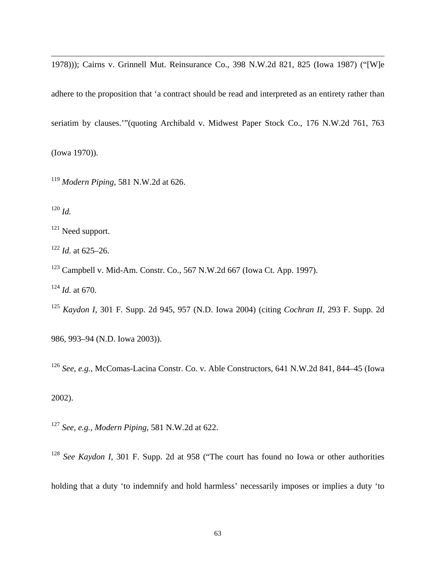1978))); Cairns v. Grinnell Mut. Reinsurance Co., 398 N.W.2d 821, 825 (Iowa 1987) ("[W]e adhere to the proposition that 'a contract should be read and interpreted as an entirety rather than seriatim by clauses.'"(quoting Archibald v. Midwest Paper Stock Co., 176 N.W.2d 761, 763 (Iowa 1970)).

<sup>119</sup> *Modern Piping*, 581 N.W.2d at 626.

 $120$  *Id.* 

 $\overline{a}$ 

<sup>121</sup> Need support.

 $122$  *Id.* at 625–26.

123 Campbell v. Mid-Am. Constr. Co., 567 N.W.2d 667 (Iowa Ct. App. 1997).

<sup>124</sup> *Id.* at 670.

<sup>125</sup> *Kaydon I*, 301 F. Supp. 2d 945, 957 (N.D. Iowa 2004) (citing *Cochran II*, 293 F. Supp. 2d

986, 993–94 (N.D. Iowa 2003)).

<sup>126</sup> *See, e.g.*, McComas-Lacina Constr. Co. v. Able Constructors, 641 N.W.2d 841, 844–45 (Iowa

2002).

<sup>127</sup> *See, e.g.*, *Modern Piping*, 581 N.W.2d at 622.

<sup>128</sup> *See Kaydon I*, 301 F. Supp. 2d at 958 ("The court has found no Iowa or other authorities

holding that a duty 'to indemnify and hold harmless' necessarily imposes or implies a duty 'to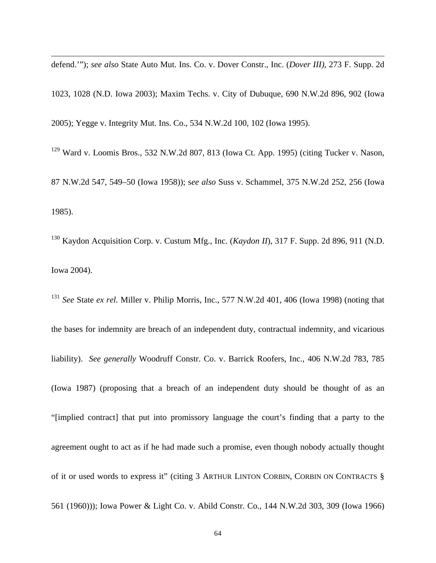defend.'"); *see also* State Auto Mut. Ins. Co. v. Dover Constr., Inc. (*Dover III)*, 273 F. Supp. 2d

 $\overline{a}$ 

1023, 1028 (N.D. Iowa 2003); Maxim Techs. v. City of Dubuque, 690 N.W.2d 896, 902 (Iowa 2005); Yegge v. Integrity Mut. Ins. Co., 534 N.W.2d 100, 102 (Iowa 1995).

129 Ward v. Loomis Bros., 532 N.W.2d 807, 813 (Iowa Ct. App. 1995) (citing Tucker v. Nason, 87 N.W.2d 547, 549–50 (Iowa 1958)); s*ee also* Suss v. Schammel, 375 N.W.2d 252, 256 (Iowa 1985).

130 Kaydon Acquisition Corp. v. Custum Mfg., Inc. (*Kaydon II*), 317 F. Supp. 2d 896, 911 (N.D. Iowa 2004).

<sup>131</sup> *See* State *ex rel.* Miller v. Philip Morris, Inc., 577 N.W.2d 401, 406 (Iowa 1998) (noting that the bases for indemnity are breach of an independent duty, contractual indemnity, and vicarious liability). *See generally* Woodruff Constr. Co. v. Barrick Roofers, Inc., 406 N.W.2d 783, 785 (Iowa 1987) (proposing that a breach of an independent duty should be thought of as an "[implied contract] that put into promissory language the court's finding that a party to the agreement ought to act as if he had made such a promise, even though nobody actually thought of it or used words to express it" (citing 3 ARTHUR LINTON CORBIN, CORBIN ON CONTRACTS § 561 (1960))); Iowa Power & Light Co. v. Abild Constr. Co., 144 N.W.2d 303, 309 (Iowa 1966)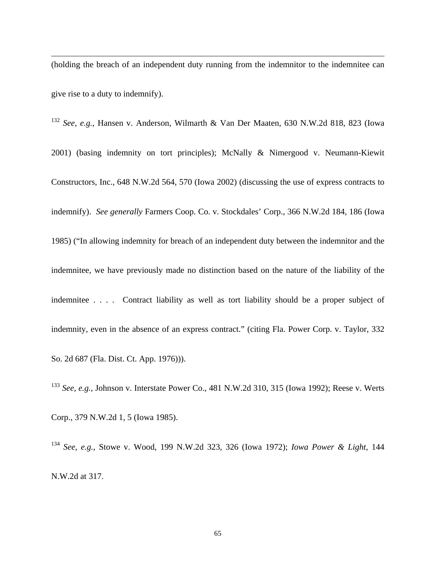(holding the breach of an independent duty running from the indemnitor to the indemnitee can give rise to a duty to indemnify).

 $\overline{a}$ 

<sup>132</sup> *See, e.g.*, Hansen v. Anderson, Wilmarth & Van Der Maaten, 630 N.W.2d 818, 823 (Iowa 2001) (basing indemnity on tort principles); McNally & Nimergood v. Neumann-Kiewit Constructors, Inc., 648 N.W.2d 564, 570 (Iowa 2002) (discussing the use of express contracts to indemnify). *See generally* Farmers Coop. Co. v. Stockdales' Corp., 366 N.W.2d 184, 186 (Iowa 1985) ("In allowing indemnity for breach of an independent duty between the indemnitor and the indemnitee, we have previously made no distinction based on the nature of the liability of the indemnitee . . . . Contract liability as well as tort liability should be a proper subject of indemnity, even in the absence of an express contract." (citing Fla. Power Corp. v. Taylor, 332 So. 2d 687 (Fla. Dist. Ct. App. 1976))).

<sup>133</sup> *See, e.g.*, Johnson v. Interstate Power Co., 481 N.W.2d 310, 315 (Iowa 1992); Reese v. Werts Corp., 379 N.W.2d 1, 5 (Iowa 1985).

<sup>134</sup> *See, e.g.*, Stowe v. Wood, 199 N.W.2d 323, 326 (Iowa 1972); *Iowa Power & Light*, 144 N.W.2d at 317.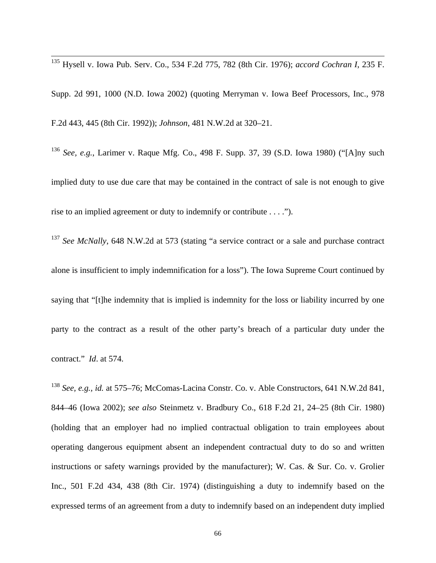135 Hysell v. Iowa Pub. Serv. Co., 534 F.2d 775, 782 (8th Cir. 1976); *accord Cochran I*, 235 F. Supp. 2d 991, 1000 (N.D. Iowa 2002) (quoting Merryman v. Iowa Beef Processors, Inc., 978 F.2d 443, 445 (8th Cir. 1992)); *Johnson*, 481 N.W.2d at 320–21.

 $\overline{a}$ 

<sup>136</sup> *See, e.g.*, Larimer v. Raque Mfg. Co., 498 F. Supp. 37, 39 (S.D. Iowa 1980) ("[A]ny such implied duty to use due care that may be contained in the contract of sale is not enough to give rise to an implied agreement or duty to indemnify or contribute . . . .").

<sup>137</sup> See McNally, 648 N.W.2d at 573 (stating "a service contract or a sale and purchase contract alone is insufficient to imply indemnification for a loss"). The Iowa Supreme Court continued by saying that "[t]he indemnity that is implied is indemnity for the loss or liability incurred by one party to the contract as a result of the other party's breach of a particular duty under the contract." *Id*. at 574.

<sup>138</sup> *See, e.g., id.* at 575–76; McComas-Lacina Constr. Co. v. Able Constructors, 641 N.W.2d 841, 844–46 (Iowa 2002); *see also* Steinmetz v. Bradbury Co., 618 F.2d 21, 24–25 (8th Cir. 1980) (holding that an employer had no implied contractual obligation to train employees about operating dangerous equipment absent an independent contractual duty to do so and written instructions or safety warnings provided by the manufacturer); W. Cas. & Sur. Co. v. Grolier Inc., 501 F.2d 434, 438 (8th Cir. 1974) (distinguishing a duty to indemnify based on the expressed terms of an agreement from a duty to indemnify based on an independent duty implied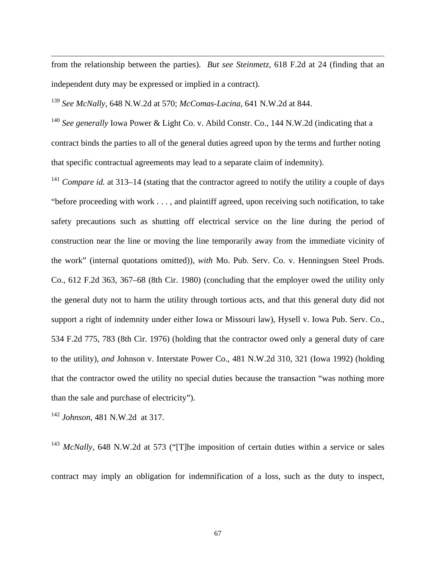from the relationship between the parties). *But see Steinmetz*, 618 F.2d at 24 (finding that an independent duty may be expressed or implied in a contract).

<sup>139</sup> *See McNally*, 648 N.W.2d at 570; *McComas-Lacina*, 641 N.W.2d at 844.

<sup>140</sup> *See generally* Iowa Power & Light Co. v. Abild Constr. Co., 144 N.W.2d (indicating that a contract binds the parties to all of the general duties agreed upon by the terms and further noting that specific contractual agreements may lead to a separate claim of indemnity).

<sup>141</sup> *Compare id.* at 313–14 (stating that the contractor agreed to notify the utility a couple of days "before proceeding with work . . . , and plaintiff agreed, upon receiving such notification, to take safety precautions such as shutting off electrical service on the line during the period of construction near the line or moving the line temporarily away from the immediate vicinity of the work" (internal quotations omitted)), *with* Mo. Pub. Serv. Co. v. Henningsen Steel Prods. Co., 612 F.2d 363, 367–68 (8th Cir. 1980) (concluding that the employer owed the utility only the general duty not to harm the utility through tortious acts, and that this general duty did not support a right of indemnity under either Iowa or Missouri law), Hysell v. Iowa Pub. Serv. Co., 534 F.2d 775, 783 (8th Cir. 1976) (holding that the contractor owed only a general duty of care to the utility), *and* Johnson v. Interstate Power Co., 481 N.W.2d 310, 321 (Iowa 1992) (holding that the contractor owed the utility no special duties because the transaction "was nothing more than the sale and purchase of electricity").

<sup>142</sup> *Johnson*, 481 N.W.2d at 317.

 $\overline{a}$ 

<sup>143</sup> *McNally*, 648 N.W.2d at 573 ("The imposition of certain duties within a service or sales contract may imply an obligation for indemnification of a loss, such as the duty to inspect,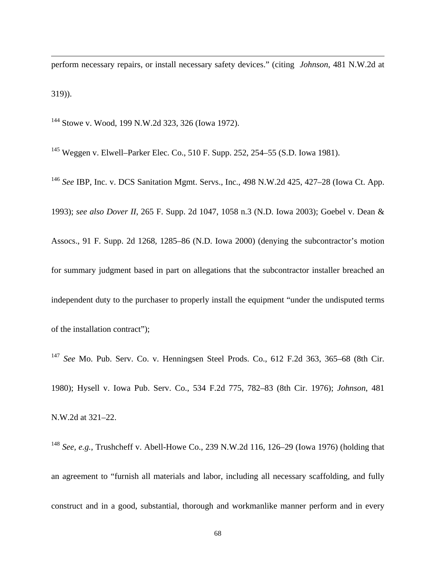perform necessary repairs, or install necessary safety devices." (citing *Johnson*, 481 N.W.2d at 319)).

144 Stowe v. Wood, 199 N.W.2d 323, 326 (Iowa 1972).

 $\overline{a}$ 

145 Weggen v. Elwell–Parker Elec. Co., 510 F. Supp. 252, 254–55 (S.D. Iowa 1981).

<sup>146</sup> *See* IBP, Inc. v. DCS Sanitation Mgmt. Servs., Inc., 498 N.W.2d 425, 427–28 (Iowa Ct. App. 1993); *see also Dover II*, 265 F. Supp. 2d 1047, 1058 n.3 (N.D. Iowa 2003); Goebel v. Dean & Assocs., 91 F. Supp. 2d 1268, 1285–86 (N.D. Iowa 2000) (denying the subcontractor's motion for summary judgment based in part on allegations that the subcontractor installer breached an independent duty to the purchaser to properly install the equipment "under the undisputed terms of the installation contract");

<sup>147</sup> *See* Mo. Pub. Serv. Co. v. Henningsen Steel Prods. Co., 612 F.2d 363, 365–68 (8th Cir. 1980); Hysell v. Iowa Pub. Serv. Co., 534 F.2d 775, 782–83 (8th Cir. 1976); *Johnson*, 481 N.W.2d at 321–22.

<sup>148</sup> *See, e.g.*, Trushcheff v. Abell-Howe Co., 239 N.W.2d 116, 126–29 (Iowa 1976) (holding that an agreement to "furnish all materials and labor, including all necessary scaffolding, and fully construct and in a good, substantial, thorough and workmanlike manner perform and in every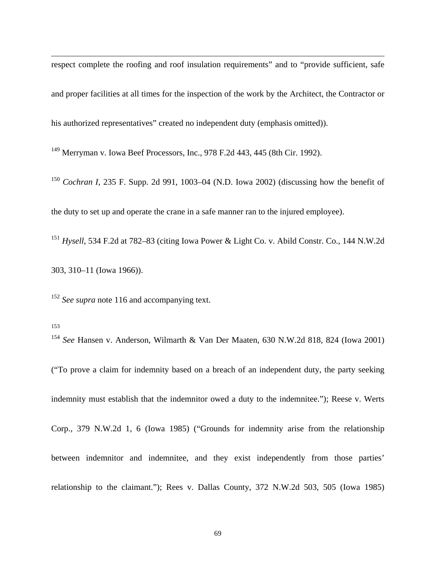respect complete the roofing and roof insulation requirements" and to "provide sufficient, safe and proper facilities at all times for the inspection of the work by the Architect, the Contractor or his authorized representatives" created no independent duty (emphasis omitted)).

149 Merryman v. Iowa Beef Processors, Inc., 978 F.2d 443, 445 (8th Cir. 1992).

<sup>150</sup> *Cochran I*, 235 F. Supp. 2d 991, 1003–04 (N.D. Iowa 2002) (discussing how the benefit of the duty to set up and operate the crane in a safe manner ran to the injured employee).

<sup>151</sup> *Hysell*, 534 F.2d at 782–83 (citing Iowa Power & Light Co. v. Abild Constr. Co., 144 N.W.2d 303, 310–11 (Iowa 1966)).

<sup>152</sup> See supra note 116 and accompanying text.

 $\overline{a}$ 

153 154 *See* Hansen v. Anderson, Wilmarth & Van Der Maaten, 630 N.W.2d 818, 824 (Iowa 2001)

("To prove a claim for indemnity based on a breach of an independent duty, the party seeking indemnity must establish that the indemnitor owed a duty to the indemnitee."); Reese v. Werts Corp., 379 N.W.2d 1, 6 (Iowa 1985) ("Grounds for indemnity arise from the relationship between indemnitor and indemnitee, and they exist independently from those parties' relationship to the claimant."); Rees v. Dallas County, 372 N.W.2d 503, 505 (Iowa 1985)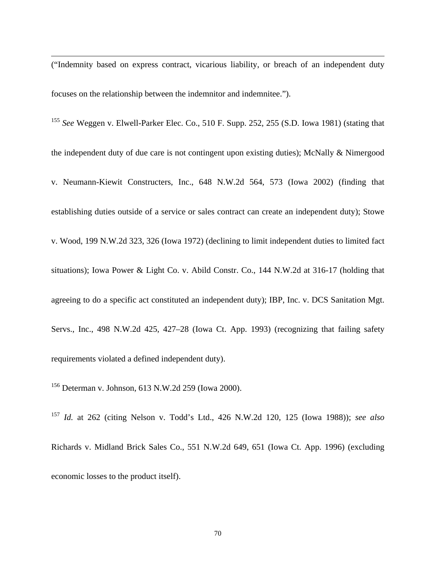("Indemnity based on express contract, vicarious liability, or breach of an independent duty focuses on the relationship between the indemnitor and indemnitee.").

<sup>155</sup> *See* Weggen v. Elwell-Parker Elec. Co., 510 F. Supp. 252, 255 (S.D. Iowa 1981) (stating that the independent duty of due care is not contingent upon existing duties); McNally & Nimergood v. Neumann-Kiewit Constructers, Inc., 648 N.W.2d 564, 573 (Iowa 2002) (finding that establishing duties outside of a service or sales contract can create an independent duty); Stowe v. Wood, 199 N.W.2d 323, 326 (Iowa 1972) (declining to limit independent duties to limited fact situations); Iowa Power & Light Co. v. Abild Constr. Co., 144 N.W.2d at 316-17 (holding that agreeing to do a specific act constituted an independent duty); IBP, Inc. v. DCS Sanitation Mgt. Servs., Inc., 498 N.W.2d 425, 427–28 (Iowa Ct. App. 1993) (recognizing that failing safety requirements violated a defined independent duty).

156 Determan v. Johnson, 613 N.W.2d 259 (Iowa 2000).

 $\overline{a}$ 

<sup>157</sup> *Id.* at 262 (citing Nelson v. Todd's Ltd., 426 N.W.2d 120, 125 (Iowa 1988)); *see also* Richards v. Midland Brick Sales Co., 551 N.W.2d 649, 651 (Iowa Ct. App. 1996) (excluding economic losses to the product itself).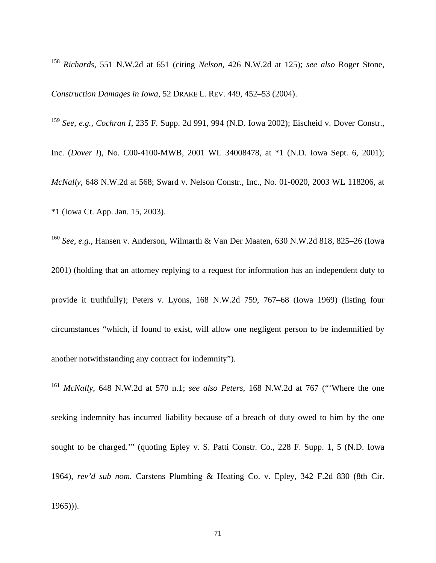<sup>158</sup> *Richards*, 551 N.W.2d at 651 (citing *Nelson*, 426 N.W.2d at 125); *see also* Roger Stone,

*Construction Damages in Iowa*, 52 DRAKE L. REV. 449, 452–53 (2004).

 $\overline{a}$ 

<sup>159</sup> *See, e.g.*, *Cochran I*, 235 F. Supp. 2d 991, 994 (N.D. Iowa 2002); Eischeid v. Dover Constr., Inc. (*Dover I*), No. C00-4100-MWB, 2001 WL 34008478, at \*1 (N.D. Iowa Sept. 6, 2001); *McNally*, 648 N.W.2d at 568; Sward v. Nelson Constr., Inc., No. 01-0020, 2003 WL 118206, at \*1 (Iowa Ct. App. Jan. 15, 2003).

<sup>160</sup> *See, e.g.*, Hansen v. Anderson, Wilmarth & Van Der Maaten, 630 N.W.2d 818, 825–26 (Iowa 2001) (holding that an attorney replying to a request for information has an independent duty to provide it truthfully); Peters v. Lyons, 168 N.W.2d 759, 767–68 (Iowa 1969) (listing four circumstances "which, if found to exist, will allow one negligent person to be indemnified by another notwithstanding any contract for indemnity").

<sup>161</sup> *McNally*, 648 N.W.2d at 570 n.1; *see also Peters*, 168 N.W.2d at 767 ("'Where the one seeking indemnity has incurred liability because of a breach of duty owed to him by the one sought to be charged.'" (quoting Epley v. S. Patti Constr. Co., 228 F. Supp. 1, 5 (N.D. Iowa 1964), *rev'd sub nom.* Carstens Plumbing & Heating Co. v. Epley, 342 F.2d 830 (8th Cir. 1965))).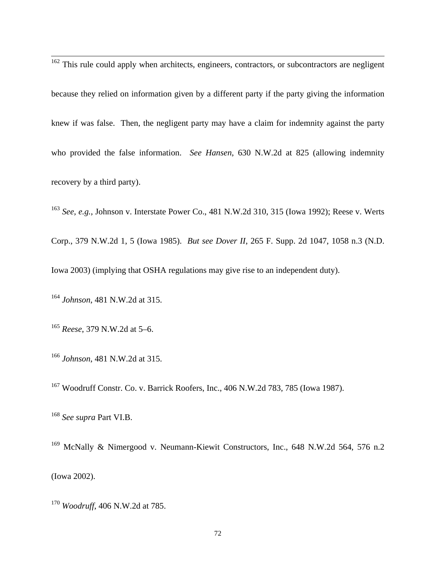$162$  This rule could apply when architects, engineers, contractors, or subcontractors are negligent because they relied on information given by a different party if the party giving the information knew if was false. Then, the negligent party may have a claim for indemnity against the party who provided the false information. *See Hansen*, 630 N.W.2d at 825 (allowing indemnity recovery by a third party).

<sup>163</sup> *See, e.g.*, Johnson v. Interstate Power Co., 481 N.W.2d 310, 315 (Iowa 1992); Reese v. Werts

Corp., 379 N.W.2d 1, 5 (Iowa 1985). *But see Dover II*, 265 F. Supp. 2d 1047, 1058 n.3 (N.D.

Iowa 2003) (implying that OSHA regulations may give rise to an independent duty).

<sup>164</sup> *Johnson*, 481 N.W.2d at 315.

 $\overline{a}$ 

<sup>165</sup> *Reese*, 379 N.W.2d at 5–6.

<sup>166</sup> *Johnson*, 481 N.W.2d at 315.

167 Woodruff Constr. Co. v. Barrick Roofers, Inc., 406 N.W.2d 783, 785 (Iowa 1987).

<sup>168</sup> *See supra* Part VI.B.

<sup>169</sup> McNally & Nimergood v. Neumann-Kiewit Constructors, Inc., 648 N.W.2d 564, 576 n.2 (Iowa 2002).

<sup>170</sup> *Woodruff*, 406 N.W.2d at 785.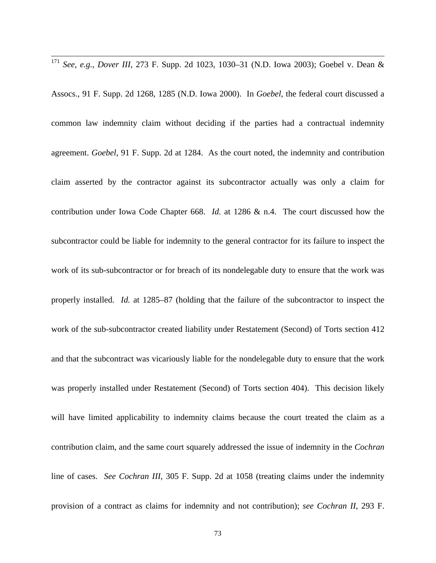<sup>171</sup> *See, e.g.*, *Dover III*, 273 F. Supp. 2d 1023, 1030–31 (N.D. Iowa 2003); Goebel v. Dean &

 $\overline{a}$ 

Assocs., 91 F. Supp. 2d 1268, 1285 (N.D. Iowa 2000). In *Goebel*, the federal court discussed a common law indemnity claim without deciding if the parties had a contractual indemnity agreement. *Goebel*, 91 F. Supp. 2d at 1284. As the court noted, the indemnity and contribution claim asserted by the contractor against its subcontractor actually was only a claim for contribution under Iowa Code Chapter 668. *Id.* at 1286 & n.4. The court discussed how the subcontractor could be liable for indemnity to the general contractor for its failure to inspect the work of its sub-subcontractor or for breach of its nondelegable duty to ensure that the work was properly installed. *Id.* at 1285–87 (holding that the failure of the subcontractor to inspect the work of the sub-subcontractor created liability under Restatement (Second) of Torts section 412 and that the subcontract was vicariously liable for the nondelegable duty to ensure that the work was properly installed under Restatement (Second) of Torts section 404). This decision likely will have limited applicability to indemnity claims because the court treated the claim as a contribution claim, and the same court squarely addressed the issue of indemnity in the *Cochran* line of cases. *See Cochran III*, 305 F. Supp. 2d at 1058 (treating claims under the indemnity provision of a contract as claims for indemnity and not contribution); *see Cochran II*, 293 F.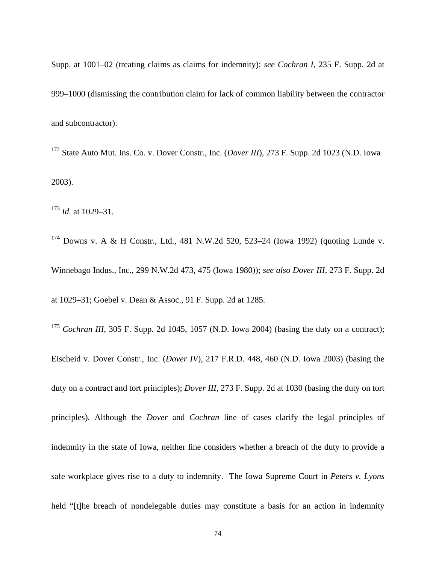Supp. at 1001–02 (treating claims as claims for indemnity); *see Cochran I*, 235 F. Supp. 2d at 999–1000 (dismissing the contribution claim for lack of common liability between the contractor and subcontractor).

172 State Auto Mut. Ins. Co. v. Dover Constr., Inc. (*Dover III*), 273 F. Supp. 2d 1023 (N.D. Iowa 2003).

<sup>173</sup> *Id.* at 1029–31.

 $\overline{a}$ 

174 Downs v. A & H Constr., Ltd., 481 N.W.2d 520, 523–24 (Iowa 1992) (quoting Lunde v. Winnebago Indus., Inc., 299 N.W.2d 473, 475 (Iowa 1980)); *see also Dover III*, 273 F. Supp. 2d at 1029–31; Goebel v. Dean & Assoc., 91 F. Supp. 2d at 1285.

<sup>175</sup> *Cochran III*, 305 F. Supp. 2d 1045, 1057 (N.D. Iowa 2004) (basing the duty on a contract); Eischeid v. Dover Constr., Inc. (*Dover IV*), 217 F.R.D. 448, 460 (N.D. Iowa 2003) (basing the duty on a contract and tort principles); *Dover III*, 273 F. Supp. 2d at 1030 (basing the duty on tort principles). Although the *Dover* and *Cochran* line of cases clarify the legal principles of indemnity in the state of Iowa, neither line considers whether a breach of the duty to provide a safe workplace gives rise to a duty to indemnity. The Iowa Supreme Court in *Peters v. Lyons* held "[t]he breach of nondelegable duties may constitute a basis for an action in indemnity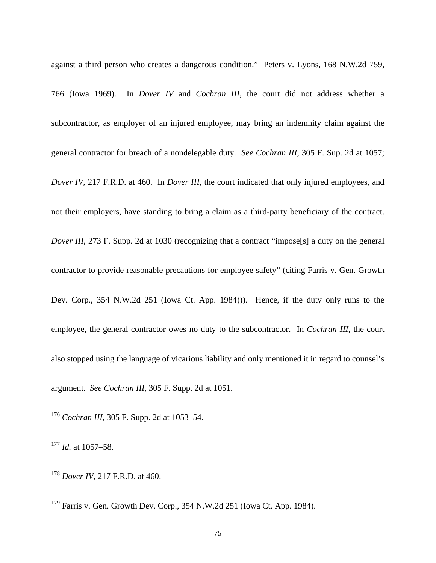$\overline{a}$ against a third person who creates a dangerous condition." Peters v. Lyons, 168 N.W.2d 759,

766 (Iowa 1969). In *Dover IV* and *Cochran III*, the court did not address whether a subcontractor, as employer of an injured employee, may bring an indemnity claim against the general contractor for breach of a nondelegable duty. *See Cochran III*, 305 F. Sup. 2d at 1057; *Dover IV*, 217 F.R.D. at 460. In *Dover III*, the court indicated that only injured employees, and not their employers, have standing to bring a claim as a third-party beneficiary of the contract. *Dover III*, 273 F. Supp. 2d at 1030 (recognizing that a contract "impose<sup>[s]</sup> a duty on the general contractor to provide reasonable precautions for employee safety" (citing Farris v. Gen. Growth Dev. Corp., 354 N.W.2d 251 (Iowa Ct. App. 1984))). Hence, if the duty only runs to the employee, the general contractor owes no duty to the subcontractor. In *Cochran III*, the court also stopped using the language of vicarious liability and only mentioned it in regard to counsel's argument. *See Cochran III*, 305 F. Supp. 2d at 1051.

<sup>176</sup> *Cochran III*, 305 F. Supp. 2d at 1053–54.

<sup>177</sup> *Id.* at 1057–58.

<sup>178</sup> *Dover IV*, 217 F.R.D. at 460.

179 Farris v. Gen. Growth Dev. Corp., 354 N.W.2d 251 (Iowa Ct. App. 1984).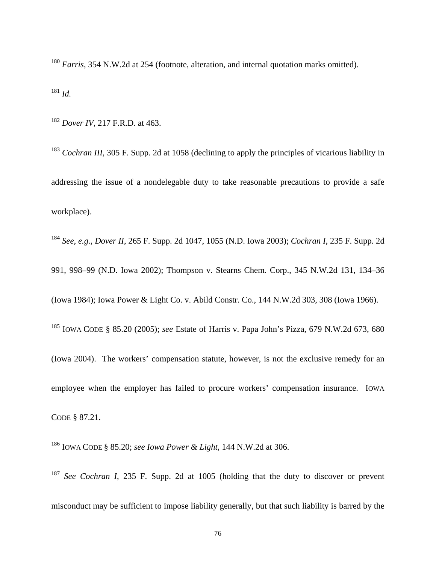<sup>180</sup> *Farris*, 354 N.W.2d at 254 (footnote, alteration, and internal quotation marks omitted).

<sup>181</sup> *Id.*

 $\overline{a}$ 

<sup>182</sup> *Dover IV*, 217 F.R.D. at 463.

<sup>183</sup> *Cochran III*, 305 F. Supp. 2d at 1058 (declining to apply the principles of vicarious liability in addressing the issue of a nondelegable duty to take reasonable precautions to provide a safe workplace).

<sup>184</sup> *See, e.g.*, *Dover II*, 265 F. Supp. 2d 1047, 1055 (N.D. Iowa 2003); *Cochran I*, 235 F. Supp. 2d 991, 998–99 (N.D. Iowa 2002); Thompson v. Stearns Chem. Corp., 345 N.W.2d 131, 134–36 (Iowa 1984); Iowa Power & Light Co. v. Abild Constr. Co., 144 N.W.2d 303, 308 (Iowa 1966). 185 IOWA CODE § 85.20 (2005); *see* Estate of Harris v. Papa John's Pizza, 679 N.W.2d 673, 680 (Iowa 2004). The workers' compensation statute, however, is not the exclusive remedy for an employee when the employer has failed to procure workers' compensation insurance. IOWA CODE § 87.21.

186 IOWA CODE § 85.20; *see Iowa Power & Light*, 144 N.W.2d at 306.

<sup>187</sup> *See Cochran I*, 235 F. Supp. 2d at 1005 (holding that the duty to discover or prevent misconduct may be sufficient to impose liability generally, but that such liability is barred by the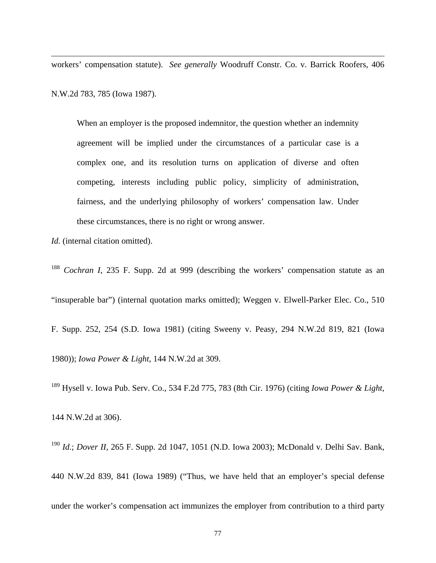workers' compensation statute). *See generally* Woodruff Constr. Co. v. Barrick Roofers, 406 N.W.2d 783, 785 (Iowa 1987).

When an employer is the proposed indemnitor, the question whether an indemnity agreement will be implied under the circumstances of a particular case is a complex one, and its resolution turns on application of diverse and often competing, interests including public policy, simplicity of administration, fairness, and the underlying philosophy of workers' compensation law. Under these circumstances, there is no right or wrong answer.

*Id.* (internal citation omitted).

 $\overline{a}$ 

<sup>188</sup> *Cochran I*, 235 F. Supp. 2d at 999 (describing the workers' compensation statute as an "insuperable bar") (internal quotation marks omitted); Weggen v. Elwell-Parker Elec. Co., 510 F. Supp. 252, 254 (S.D. Iowa 1981) (citing Sweeny v. Peasy, 294 N.W.2d 819, 821 (Iowa 1980)); *Iowa Power & Light*, 144 N.W.2d at 309.

189 Hysell v. Iowa Pub. Serv. Co., 534 F.2d 775, 783 (8th Cir. 1976) (citing *Iowa Power & Light*, 144 N.W.2d at 306).

<sup>190</sup> *Id.*; *Dover II*, 265 F. Supp. 2d 1047, 1051 (N.D. Iowa 2003); McDonald v. Delhi Sav. Bank, 440 N.W.2d 839, 841 (Iowa 1989) ("Thus, we have held that an employer's special defense under the worker's compensation act immunizes the employer from contribution to a third party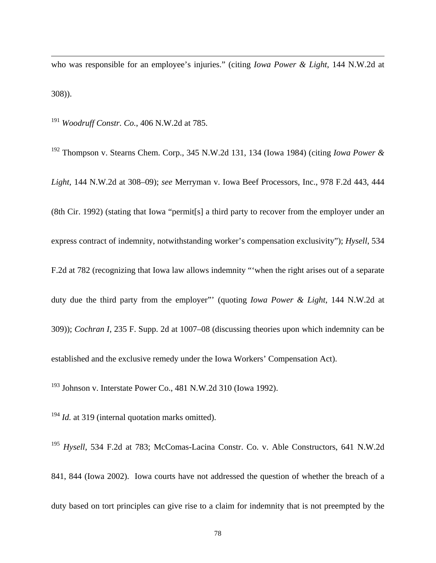who was responsible for an employee's injuries." (citing *Iowa Power & Light*, 144 N.W.2d at 308)).

<sup>191</sup> *Woodruff Constr. Co.*, 406 N.W.2d at 785.

 $\overline{a}$ 

192 Thompson v. Stearns Chem. Corp., 345 N.W.2d 131, 134 (Iowa 1984) (citing *Iowa Power & Light*, 144 N.W.2d at 308–09); *see* Merryman v. Iowa Beef Processors, Inc., 978 F.2d 443, 444 (8th Cir. 1992) (stating that Iowa "permit[s] a third party to recover from the employer under an express contract of indemnity, notwithstanding worker's compensation exclusivity"); *Hysell*, 534 F.2d at 782 (recognizing that Iowa law allows indemnity "'when the right arises out of a separate duty due the third party from the employer"' (quoting *Iowa Power & Light*, 144 N.W.2d at 309)); *Cochran I*, 235 F. Supp. 2d at 1007–08 (discussing theories upon which indemnity can be established and the exclusive remedy under the Iowa Workers' Compensation Act).

193 Johnson v. Interstate Power Co., 481 N.W.2d 310 (Iowa 1992).

<sup>194</sup> *Id.* at 319 (internal quotation marks omitted).

<sup>195</sup> *Hysell*, 534 F.2d at 783; McComas-Lacina Constr. Co. v. Able Constructors, 641 N.W.2d 841, 844 (Iowa 2002). Iowa courts have not addressed the question of whether the breach of a duty based on tort principles can give rise to a claim for indemnity that is not preempted by the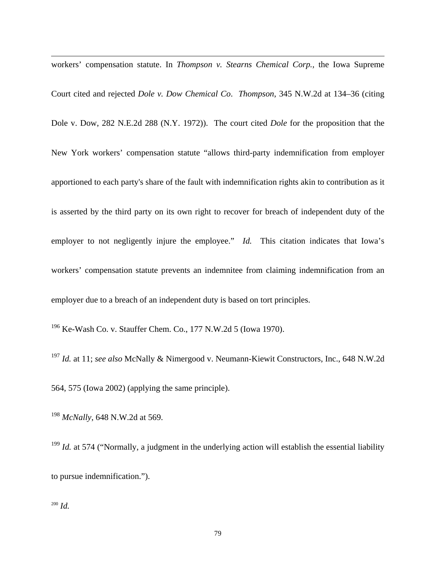workers' compensation statute. In *Thompson v. Stearns Chemical Corp.,* the Iowa Supreme Court cited and rejected *Dole v. Dow Chemical Co*. *Thompson*, 345 N.W.2d at 134–36 (citing Dole v. Dow, 282 N.E.2d 288 (N.Y. 1972)). The court cited *Dole* for the proposition that the New York workers' compensation statute "allows third-party indemnification from employer apportioned to each party's share of the fault with indemnification rights akin to contribution as it is asserted by the third party on its own right to recover for breach of independent duty of the employer to not negligently injure the employee." *Id.* This citation indicates that Iowa's workers' compensation statute prevents an indemnitee from claiming indemnification from an employer due to a breach of an independent duty is based on tort principles.

196 Ke-Wash Co. v. Stauffer Chem. Co., 177 N.W.2d 5 (Iowa 1970).

<sup>197</sup> *Id.* at 11; *see also* McNally & Nimergood v. Neumann-Kiewit Constructors, Inc., 648 N.W.2d 564, 575 (Iowa 2002) (applying the same principle).

<sup>198</sup> *McNally*, 648 N.W.2d at 569.

<sup>199</sup> *Id.* at 574 ("Normally, a judgment in the underlying action will establish the essential liability to pursue indemnification.").

<sup>200</sup> *Id.*

 $\overline{a}$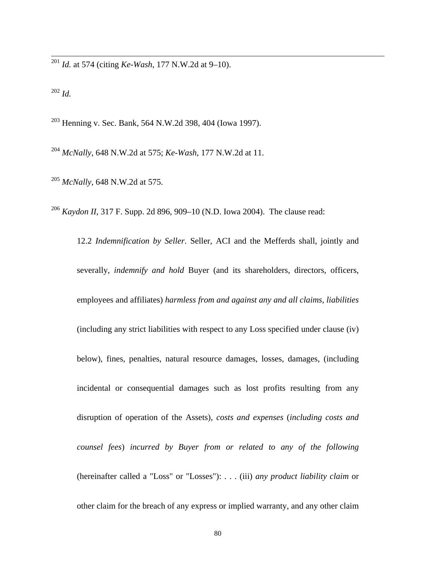<sup>201</sup> *Id.* at 574 (citing *Ke-Wash*, 177 N.W.2d at 9–10).

 $202$  *Id.* 

 $\overline{a}$ 

203 Henning v. Sec. Bank, 564 N.W.2d 398, 404 (Iowa 1997).

<sup>204</sup> *McNally*, 648 N.W.2d at 575; *Ke-Wash*, 177 N.W.2d at 11.

<sup>205</sup> *McNally*, 648 N.W.2d at 575.

<sup>206</sup> *Kaydon II*, 317 F. Supp. 2d 896, 909–10 (N.D. Iowa 2004). The clause read:

12.2 *Indemnification by Seller*. Seller, ACI and the Mefferds shall, jointly and severally, *indemnify and hold* Buyer (and its shareholders, directors, officers, employees and affiliates) *harmless from and against any and all claims, liabilities* (including any strict liabilities with respect to any Loss specified under clause (iv) below), fines, penalties, natural resource damages, losses, damages, (including incidental or consequential damages such as lost profits resulting from any disruption of operation of the Assets), *costs and expenses* (*including costs and counsel fees*) *incurred by Buyer from or related to any of the following* (hereinafter called a "Loss" or "Losses"): . . . (iii) *any product liability claim* or other claim for the breach of any express or implied warranty, and any other claim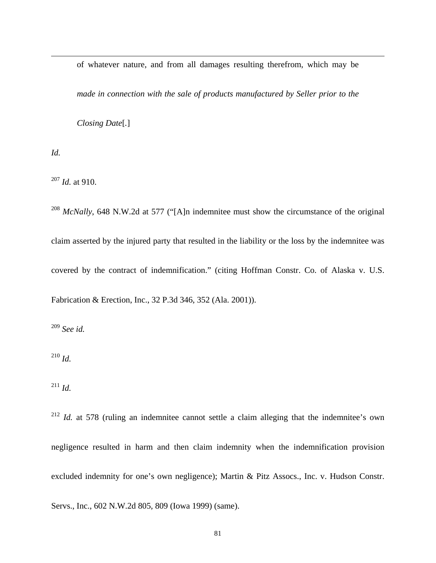of whatever nature, and from all damages resulting therefrom, which may be

*made in connection with the sale of products manufactured by Seller prior to the* 

*Closing Date*[*.*]

*Id.* 

 $\overline{a}$ 

<sup>207</sup> *Id.* at 910.

<sup>208</sup> *McNally*, 648 N.W.2d at 577 ("[A]n indemnitee must show the circumstance of the original claim asserted by the injured party that resulted in the liability or the loss by the indemnitee was covered by the contract of indemnification." (citing Hoffman Constr. Co. of Alaska v. U.S. Fabrication & Erection, Inc., 32 P.3d 346, 352 (Ala. 2001)).

<sup>209</sup> *See id.*

<sup>210</sup> *Id.*

<sup>211</sup> *Id.*

<sup>212</sup> *Id.* at 578 (ruling an indemnitee cannot settle a claim alleging that the indemnitee's own negligence resulted in harm and then claim indemnity when the indemnification provision excluded indemnity for one's own negligence); Martin & Pitz Assocs., Inc. v. Hudson Constr.

Servs., Inc., 602 N.W.2d 805, 809 (Iowa 1999) (same).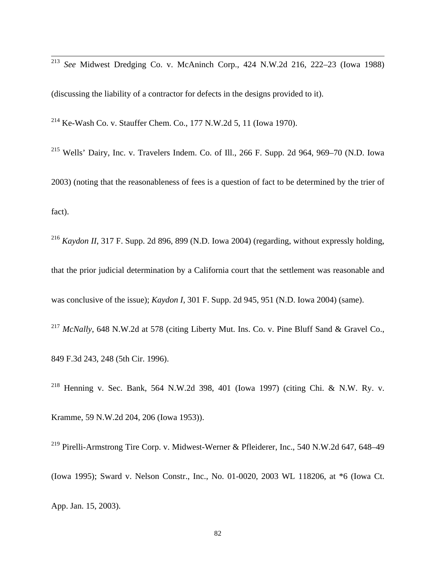<sup>213</sup> *See* Midwest Dredging Co. v. McAninch Corp., 424 N.W.2d 216, 222–23 (Iowa 1988)

(discussing the liability of a contractor for defects in the designs provided to it).

<sup>214</sup> Ke-Wash Co. v. Stauffer Chem. Co., 177 N.W.2d 5, 11 (Iowa 1970).

 $\overline{a}$ 

215 Wells' Dairy, Inc. v. Travelers Indem. Co. of Ill., 266 F. Supp. 2d 964, 969–70 (N.D. Iowa 2003) (noting that the reasonableness of fees is a question of fact to be determined by the trier of fact).

<sup>216</sup> *Kaydon II*, 317 F. Supp. 2d 896, 899 (N.D. Iowa 2004) (regarding, without expressly holding, that the prior judicial determination by a California court that the settlement was reasonable and was conclusive of the issue); *Kaydon I*, 301 F. Supp. 2d 945, 951 (N.D. Iowa 2004) (same).

<sup>217</sup> *McNally*, 648 N.W.2d at 578 (citing Liberty Mut. Ins. Co. v. Pine Bluff Sand & Gravel Co., 849 F.3d 243, 248 (5th Cir. 1996).

218 Henning v. Sec. Bank, 564 N.W.2d 398, 401 (Iowa 1997) (citing Chi. & N.W. Ry. v. Kramme, 59 N.W.2d 204, 206 (Iowa 1953)).

219 Pirelli-Armstrong Tire Corp. v. Midwest-Werner & Pfleiderer, Inc., 540 N.W.2d 647, 648–49 (Iowa 1995); Sward v. Nelson Constr., Inc., No. 01-0020, 2003 WL 118206, at \*6 (Iowa Ct. App. Jan. 15, 2003).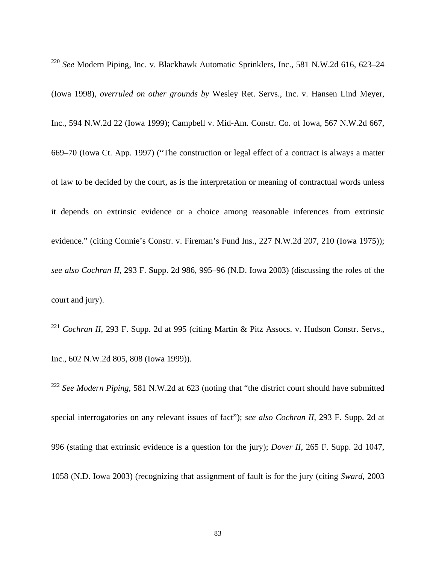$\overline{a}$ <sup>220</sup> *See* Modern Piping, Inc. v. Blackhawk Automatic Sprinklers, Inc., 581 N.W.2d 616, 623–24

(Iowa 1998), *overruled on other grounds by* Wesley Ret. Servs., Inc. v. Hansen Lind Meyer, Inc., 594 N.W.2d 22 (Iowa 1999); Campbell v. Mid-Am. Constr. Co. of Iowa, 567 N.W.2d 667, 669–70 (Iowa Ct. App. 1997) ("The construction or legal effect of a contract is always a matter of law to be decided by the court, as is the interpretation or meaning of contractual words unless it depends on extrinsic evidence or a choice among reasonable inferences from extrinsic evidence." (citing Connie's Constr. v. Fireman's Fund Ins., 227 N.W.2d 207, 210 (Iowa 1975)); *see also Cochran II*, 293 F. Supp. 2d 986, 995–96 (N.D. Iowa 2003) (discussing the roles of the court and jury).

<sup>221</sup> *Cochran II*, 293 F. Supp. 2d at 995 (citing Martin & Pitz Assocs. v. Hudson Constr. Servs., Inc., 602 N.W.2d 805, 808 (Iowa 1999)).

<sup>222</sup> *See Modern Piping*, 581 N.W.2d at 623 (noting that "the district court should have submitted special interrogatories on any relevant issues of fact"); *see also Cochran II*, 293 F. Supp. 2d at 996 (stating that extrinsic evidence is a question for the jury); *Dover II*, 265 F. Supp. 2d 1047, 1058 (N.D. Iowa 2003) (recognizing that assignment of fault is for the jury (citing *Sward*, 2003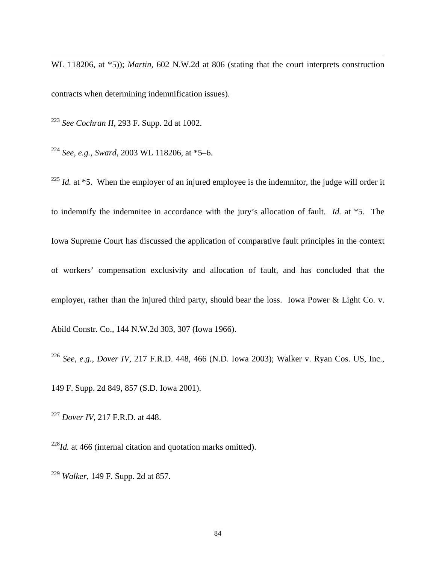WL 118206, at \*5)); *Martin*, 602 N.W.2d at 806 (stating that the court interprets construction contracts when determining indemnification issues).

<sup>223</sup> *See Cochran II*, 293 F. Supp. 2d at 1002.

 $\overline{a}$ 

<sup>224</sup> *See*, *e.g.*, *Sward*, 2003 WL 118206, at \*5–6.

<sup>225</sup> *Id.* at  $*5$ . When the employer of an injured employee is the indemnitor, the judge will order it to indemnify the indemnitee in accordance with the jury's allocation of fault. *Id.* at \*5. The Iowa Supreme Court has discussed the application of comparative fault principles in the context of workers' compensation exclusivity and allocation of fault, and has concluded that the employer, rather than the injured third party, should bear the loss. Iowa Power & Light Co. v. Abild Constr. Co., 144 N.W.2d 303, 307 (Iowa 1966).

<sup>226</sup> *See*, *e.g.*, *Dover IV*, 217 F.R.D. 448, 466 (N.D. Iowa 2003); Walker v. Ryan Cos. US, Inc., 149 F. Supp. 2d 849, 857 (S.D. Iowa 2001).

<sup>227</sup> *Dover IV*, 217 F.R.D. at 448.

<sup>228</sup>*Id.* at 466 (internal citation and quotation marks omitted).

<sup>229</sup> *Walker*, 149 F. Supp. 2d at 857.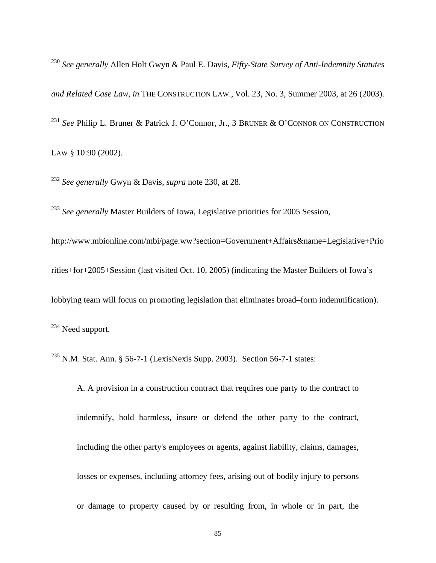<sup>230</sup> *See generally* Allen Holt Gwyn & Paul E. Davis, *Fifty-State Survey of Anti-Indemnity Statutes and Related Case Law, in* THE CONSTRUCTION LAW., Vol. 23, No. 3, Summer 2003, at 26 (2003). <sup>231</sup> *See* Philip L. Bruner & Patrick J. O'Connor, Jr., 3 BRUNER & O'CONNOR ON CONSTRUCTION LAW § 10:90 (2002).

<sup>232</sup> *See generally* Gwyn & Davis, *supra* note 230, at 28.

 $\overline{a}$ 

<sup>233</sup> See generally Master Builders of Iowa, Legislative priorities for 2005 Session,

[http://www.mbionline.com/mbi/page.ww?section=Government+Affairs&name=Legislative+Prio](http://www.mbionline.com/mbi/page.ww?section=Government+Affairs&name=Legislative+Priorities+for+2005+Session) [rities+for+2005+Session](http://www.mbionline.com/mbi/page.ww?section=Government+Affairs&name=Legislative+Priorities+for+2005+Session) (last visited Oct. 10, 2005) (indicating the Master Builders of Iowa's lobbying team will focus on promoting legislation that eliminates broad–form indemnification). <sup>234</sup> Need support.

<sup>235</sup> N.M. Stat. Ann. § 56-7-1 (LexisNexis Supp. 2003). Section 56-7-1 states:

A. A provision in a construction contract that requires one party to the contract to indemnify, hold harmless, insure or defend the other party to the contract, including the other party's employees or agents, against liability, claims, damages, losses or expenses, including attorney fees, arising out of bodily injury to persons or damage to property caused by or resulting from, in whole or in part, the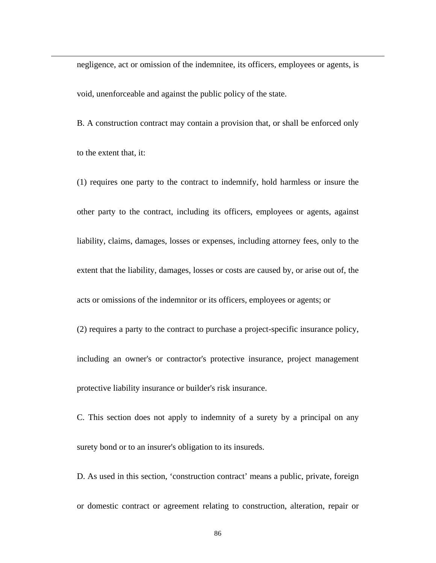negligence, act or omission of the indemnitee, its officers, employees or agents, is void, unenforceable and against the public policy of the state.

 $\overline{a}$ 

B. A construction contract may contain a provision that, or shall be enforced only to the extent that, it:

(1) requires one party to the contract to indemnify, hold harmless or insure the other party to the contract, including its officers, employees or agents, against liability, claims, damages, losses or expenses, including attorney fees, only to the extent that the liability, damages, losses or costs are caused by, or arise out of, the acts or omissions of the indemnitor or its officers, employees or agents; or (2) requires a party to the contract to purchase a project-specific insurance policy, including an owner's or contractor's protective insurance, project management protective liability insurance or builder's risk insurance.

C. This section does not apply to indemnity of a surety by a principal on any surety bond or to an insurer's obligation to its insureds.

D. As used in this section, 'construction contract' means a public, private, foreign or domestic contract or agreement relating to construction, alteration, repair or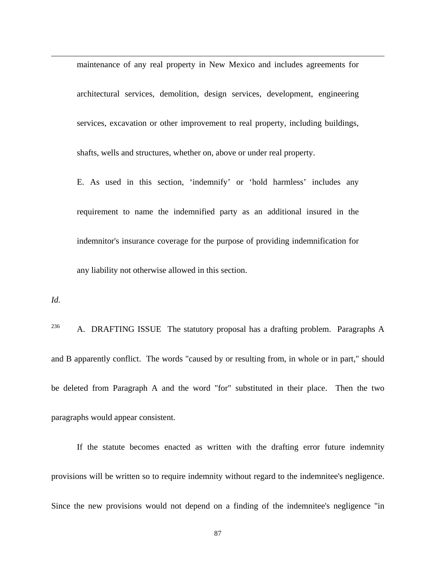maintenance of any real property in New Mexico and includes agreements for architectural services, demolition, design services, development, engineering services, excavation or other improvement to real property, including buildings, shafts, wells and structures, whether on, above or under real property.

E. As used in this section, 'indemnify' or 'hold harmless' includes any requirement to name the indemnified party as an additional insured in the indemnitor's insurance coverage for the purpose of providing indemnification for any liability not otherwise allowed in this section.

*Id.*

 $\overline{a}$ 

<sup>236</sup> A. DRAFTING ISSUE The statutory proposal has a drafting problem. Paragraphs A and B apparently conflict. The words "caused by or resulting from, in whole or in part," should be deleted from Paragraph A and the word "for" substituted in their place. Then the two paragraphs would appear consistent.

If the statute becomes enacted as written with the drafting error future indemnity provisions will be written so to require indemnity without regard to the indemnitee's negligence. Since the new provisions would not depend on a finding of the indemnitee's negligence "in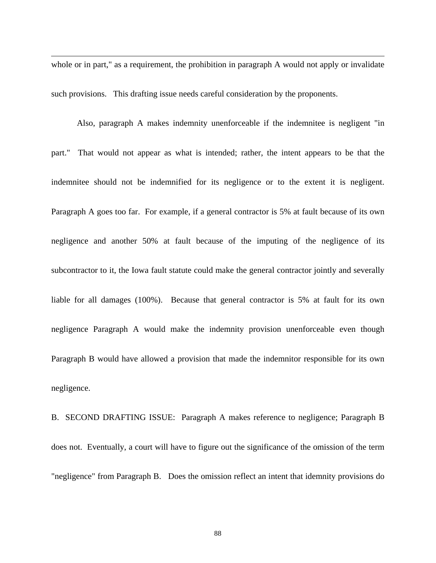whole or in part," as a requirement, the prohibition in paragraph A would not apply or invalidate such provisions. This drafting issue needs careful consideration by the proponents.

 $\overline{a}$ 

Also, paragraph A makes indemnity unenforceable if the indemnitee is negligent "in part." That would not appear as what is intended; rather, the intent appears to be that the indemnitee should not be indemnified for its negligence or to the extent it is negligent. Paragraph A goes too far. For example, if a general contractor is 5% at fault because of its own negligence and another 50% at fault because of the imputing of the negligence of its subcontractor to it, the Iowa fault statute could make the general contractor jointly and severally liable for all damages (100%). Because that general contractor is 5% at fault for its own negligence Paragraph A would make the indemnity provision unenforceable even though Paragraph B would have allowed a provision that made the indemnitor responsible for its own negligence.

B. SECOND DRAFTING ISSUE: Paragraph A makes reference to negligence; Paragraph B does not. Eventually, a court will have to figure out the significance of the omission of the term "negligence" from Paragraph B. Does the omission reflect an intent that idemnity provisions do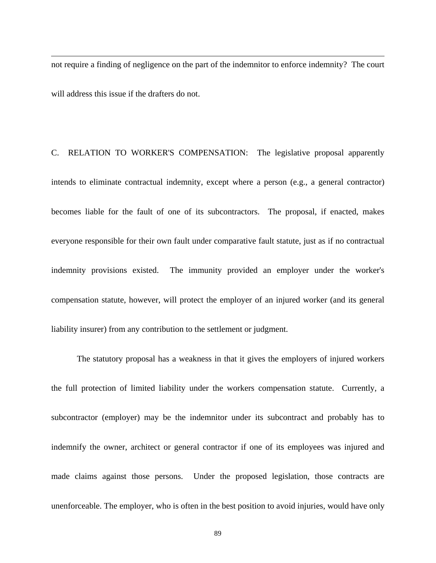not require a finding of negligence on the part of the indemnitor to enforce indemnity? The court will address this issue if the drafters do not.

 $\overline{a}$ 

C. RELATION TO WORKER'S COMPENSATION: The legislative proposal apparently intends to eliminate contractual indemnity, except where a person (e.g., a general contractor) becomes liable for the fault of one of its subcontractors. The proposal, if enacted, makes everyone responsible for their own fault under comparative fault statute, just as if no contractual indemnity provisions existed. The immunity provided an employer under the worker's compensation statute, however, will protect the employer of an injured worker (and its general liability insurer) from any contribution to the settlement or judgment.

The statutory proposal has a weakness in that it gives the employers of injured workers the full protection of limited liability under the workers compensation statute. Currently, a subcontractor (employer) may be the indemnitor under its subcontract and probably has to indemnify the owner, architect or general contractor if one of its employees was injured and made claims against those persons. Under the proposed legislation, those contracts are unenforceable. The employer, who is often in the best position to avoid injuries, would have only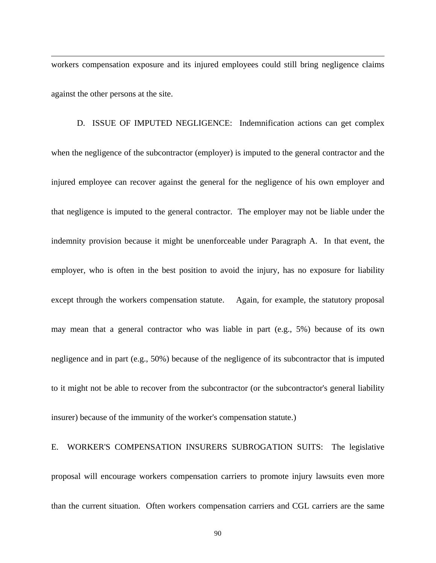workers compensation exposure and its injured employees could still bring negligence claims against the other persons at the site.

 $\overline{\phantom{a}}$ 

D. ISSUE OF IMPUTED NEGLIGENCE: Indemnification actions can get complex when the negligence of the subcontractor (employer) is imputed to the general contractor and the injured employee can recover against the general for the negligence of his own employer and that negligence is imputed to the general contractor. The employer may not be liable under the indemnity provision because it might be unenforceable under Paragraph A. In that event, the employer, who is often in the best position to avoid the injury, has no exposure for liability except through the workers compensation statute. Again, for example, the statutory proposal may mean that a general contractor who was liable in part (e.g., 5%) because of its own negligence and in part (e.g., 50%) because of the negligence of its subcontractor that is imputed to it might not be able to recover from the subcontractor (or the subcontractor's general liability insurer) because of the immunity of the worker's compensation statute.)

## E. WORKER'S COMPENSATION INSURERS SUBROGATION SUITS: The legislative proposal will encourage workers compensation carriers to promote injury lawsuits even more than the current situation. Often workers compensation carriers and CGL carriers are the same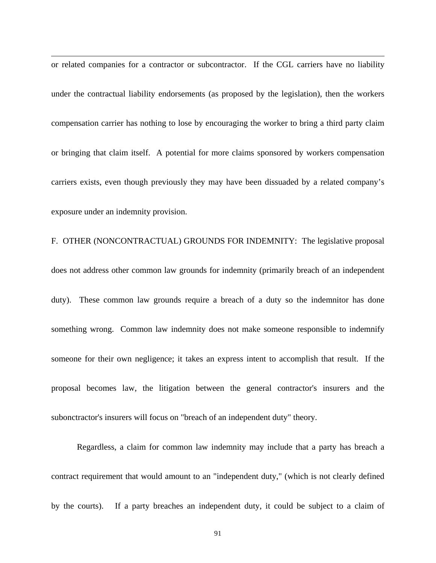or related companies for a contractor or subcontractor. If the CGL carriers have no liability under the contractual liability endorsements (as proposed by the legislation), then the workers compensation carrier has nothing to lose by encouraging the worker to bring a third party claim or bringing that claim itself. A potential for more claims sponsored by workers compensation carriers exists, even though previously they may have been dissuaded by a related company's exposure under an indemnity provision.

 $\overline{\phantom{a}}$ 

F. OTHER (NONCONTRACTUAL) GROUNDS FOR INDEMNITY: The legislative proposal does not address other common law grounds for indemnity (primarily breach of an independent duty). These common law grounds require a breach of a duty so the indemnitor has done something wrong. Common law indemnity does not make someone responsible to indemnify someone for their own negligence; it takes an express intent to accomplish that result. If the proposal becomes law, the litigation between the general contractor's insurers and the subonctractor's insurers will focus on "breach of an independent duty" theory.

Regardless, a claim for common law indemnity may include that a party has breach a contract requirement that would amount to an "independent duty," (which is not clearly defined by the courts). If a party breaches an independent duty, it could be subject to a claim of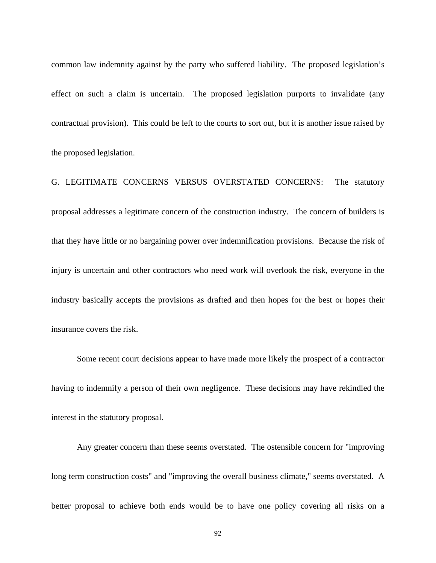common law indemnity against by the party who suffered liability. The proposed legislation's effect on such a claim is uncertain. The proposed legislation purports to invalidate (any contractual provision). This could be left to the courts to sort out, but it is another issue raised by the proposed legislation.

 $\overline{\phantom{a}}$ 

G. LEGITIMATE CONCERNS VERSUS OVERSTATED CONCERNS: The statutory proposal addresses a legitimate concern of the construction industry. The concern of builders is that they have little or no bargaining power over indemnification provisions. Because the risk of injury is uncertain and other contractors who need work will overlook the risk, everyone in the industry basically accepts the provisions as drafted and then hopes for the best or hopes their insurance covers the risk.

Some recent court decisions appear to have made more likely the prospect of a contractor having to indemnify a person of their own negligence. These decisions may have rekindled the interest in the statutory proposal.

Any greater concern than these seems overstated. The ostensible concern for "improving long term construction costs" and "improving the overall business climate," seems overstated. A better proposal to achieve both ends would be to have one policy covering all risks on a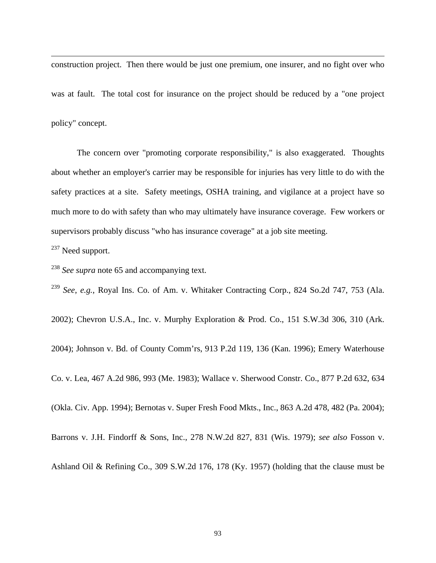construction project. Then there would be just one premium, one insurer, and no fight over who was at fault. The total cost for insurance on the project should be reduced by a "one project policy" concept.

The concern over "promoting corporate responsibility," is also exaggerated. Thoughts about whether an employer's carrier may be responsible for injuries has very little to do with the safety practices at a site. Safety meetings, OSHA training, and vigilance at a project have so much more to do with safety than who may ultimately have insurance coverage. Few workers or supervisors probably discuss "who has insurance coverage" at a job site meeting.

<sup>237</sup> Need support.

 $\overline{\phantom{a}}$ 

<sup>238</sup> *See supra* note 65 and accompanying text.

<sup>239</sup> *See*, *e.g.*, Royal Ins. Co. of Am. v. Whitaker Contracting Corp., 824 So.2d 747, 753 (Ala.

2002); Chevron U.S.A., Inc. v. Murphy Exploration & Prod. Co., 151 S.W.3d 306, 310 (Ark.

2004); Johnson v. Bd. of County Comm'rs, 913 P.2d 119, 136 (Kan. 1996); Emery Waterhouse

Co. v. Lea, 467 A.2d 986, 993 (Me. 1983); Wallace v. Sherwood Constr. Co., 877 P.2d 632, 634

(Okla. Civ. App. 1994); Bernotas v. Super Fresh Food Mkts., Inc., 863 A.2d 478, 482 (Pa. 2004);

Barrons v. J.H. Findorff & Sons, Inc., 278 N.W.2d 827, 831 (Wis. 1979); *see also* Fosson v.

Ashland Oil & Refining Co., 309 S.W.2d 176, 178 (Ky. 1957) (holding that the clause must be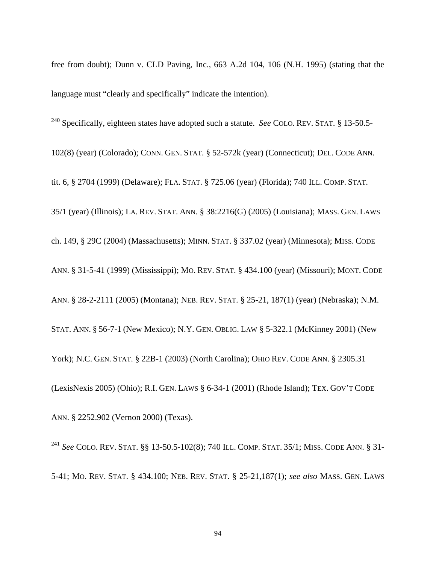free from doubt); Dunn v. CLD Paving, Inc., 663 A.2d 104, 106 (N.H. 1995) (stating that the language must "clearly and specifically" indicate the intention).

240 Specifically, eighteen states have adopted such a statute. *See* COLO. REV. STAT. § 13-50.5-

102(8) (year) (Colorado); CONN. GEN. STAT. § 52-572k (year) (Connecticut); DEL. CODE ANN.

tit. 6, § 2704 (1999) (Delaware); FLA. STAT. § 725.06 (year) (Florida); 740 ILL. COMP. STAT.

35/1 (year) (Illinois); LA. REV. STAT. ANN. § 38:2216(G) (2005) (Louisiana); MASS. GEN. LAWS

ch. 149, § 29C (2004) (Massachusetts); MINN. STAT. § 337.02 (year) (Minnesota); MISS. CODE

ANN. § 31-5-41 (1999) (Mississippi); MO. REV. STAT. § 434.100 (year) (Missouri); MONT. CODE

ANN. § 28-2-2111 (2005) (Montana); NEB. REV. STAT. § 25-21, 187(1) (year) (Nebraska); N.M.

STAT. ANN. § 56-7-1 (New Mexico); N.Y. GEN. OBLIG. LAW § 5-322.1 (McKinney 2001) (New

York); N.C. GEN. STAT. § 22B-1 (2003) (North Carolina); OHIO REV. CODE ANN. § 2305.31

(LexisNexis 2005) (Ohio); R.I. GEN. LAWS § 6-34-1 (2001) (Rhode Island); TEX. GOV'T CODE

ANN. § 2252.902 (Vernon 2000) (Texas).

 $\overline{\phantom{a}}$ 

<sup>241</sup> *See* COLO. REV. STAT. §§ 13-50.5-102(8); 740 ILL. COMP. STAT. 35/1; MISS. CODE ANN. § 31- 5-41; MO. REV. STAT. § 434.100; NEB. REV. STAT. § 25-21,187(1); *see also* MASS. GEN. LAWS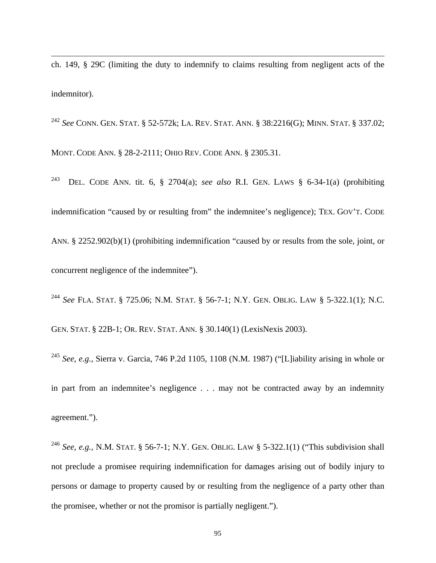ch. 149, § 29C (limiting the duty to indemnify to claims resulting from negligent acts of the indemnitor).

 $\overline{\phantom{a}}$ 

<sup>242</sup> *See* CONN. GEN. STAT. § 52-572k; LA. REV. STAT. ANN. § 38:2216(G); MINN. STAT. § 337.02; MONT. CODE ANN. § 28-2-2111; OHIO REV. CODE ANN. § 2305.31.

243 DEL. CODE ANN. tit. 6, § 2704(a); *see also* R.I. GEN. LAWS § 6-34-1(a) (prohibiting indemnification "caused by or resulting from" the indemnitee's negligence); TEX. GOV'T. CODE ANN. § 2252.902(b)(1) (prohibiting indemnification "caused by or results from the sole, joint, or concurrent negligence of the indemnitee").

<sup>244</sup> *See* FLA. STAT. § 725.06; N.M. STAT. § 56-7-1; N.Y. GEN. OBLIG. LAW § 5-322.1(1); N.C. GEN. STAT. § 22B-1; OR. REV. STAT. ANN. § 30.140(1) (LexisNexis 2003).

<sup>245</sup> *See, e.g.*, Sierra v. Garcia, 746 P.2d 1105, 1108 (N.M. 1987) ("[L]iability arising in whole or in part from an indemnitee's negligence . . . may not be contracted away by an indemnity agreement.").

<sup>246</sup> *See, e.g.,* N.M. STAT. § 56-7-1; N.Y. GEN. OBLIG. LAW § 5-322.1(1) ("This subdivision shall not preclude a promisee requiring indemnification for damages arising out of bodily injury to persons or damage to property caused by or resulting from the negligence of a party other than the promisee, whether or not the promisor is partially negligent.").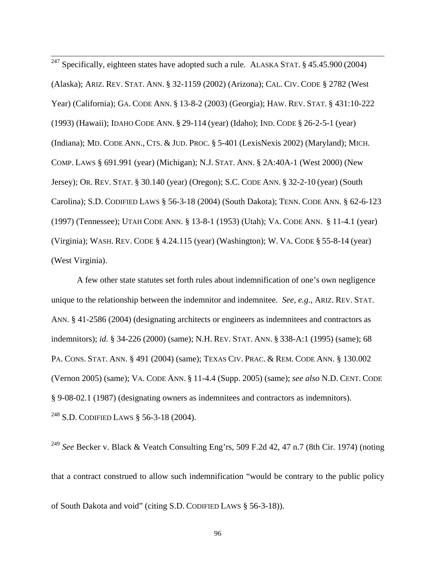$\overline{\phantom{a}}$ <sup>247</sup> Specifically, eighteen states have adopted such a rule. ALASKA STAT.  $\S$  45.45.900 (2004) (Alaska); ARIZ. REV. STAT. ANN. § 32-1159 (2002) (Arizona); CAL. CIV. CODE § 2782 (West Year) (California); GA. CODE ANN. § 13-8-2 (2003) (Georgia); HAW. REV. STAT. § 431:10-222 (1993) (Hawaii); IDAHO CODE ANN. § 29-114 (year) (Idaho); IND. CODE § 26-2-5-1 (year) (Indiana); MD. CODE ANN., CTS. & JUD. PROC. § 5-401 (LexisNexis 2002) (Maryland); MICH. COMP. LAWS § 691.991 (year) (Michigan); N.J. STAT. ANN. § 2A:40A-1 (West 2000) (New Jersey); OR. REV. STAT. § 30.140 (year) (Oregon); S.C. CODE ANN. § 32-2-10 (year) (South Carolina); S.D. CODIFIED LAWS § 56-3-18 (2004) (South Dakota); TENN. CODE ANN. § 62-6-123 (1997) (Tennessee); UTAH CODE ANN. § 13-8-1 (1953) (Utah); VA. CODE ANN. § 11-4.1 (year) (Virginia); WASH. REV. CODE § 4.24.115 (year) (Washington); W. VA. CODE § 55-8-14 (year) (West Virginia).

 A few other state statutes set forth rules about indemnification of one's own negligence unique to the relationship between the indemnitor and indemnitee. *See, e.g.*, ARIZ. REV. STAT. ANN. § 41-2586 (2004) (designating architects or engineers as indemnitees and contractors as indemnitors); *id.* § 34-226 (2000) (same); N.H. REV. STAT. ANN. § 338-A:1 (1995) (same); 68 PA. CONS. STAT. ANN. § 491 (2004) (same); TEXAS CIV. PRAC. & REM. CODE ANN. § 130.002 (Vernon 2005) (same); VA. CODE ANN. § 11-4.4 (Supp. 2005) (same); *see also* N.D. CENT. CODE § 9-08-02.1 (1987) (designating owners as indemnitees and contractors as indemnitors). <sup>248</sup> S.D. CODIFIED LAWS § 56-3-18 (2004).

<sup>249</sup> *See* Becker v. Black & Veatch Consulting Eng'rs, 509 F.2d 42, 47 n.7 (8th Cir. 1974) (noting that a contract construed to allow such indemnification "would be contrary to the public policy of South Dakota and void" (citing S.D. CODIFIED LAWS § 56-3-18)).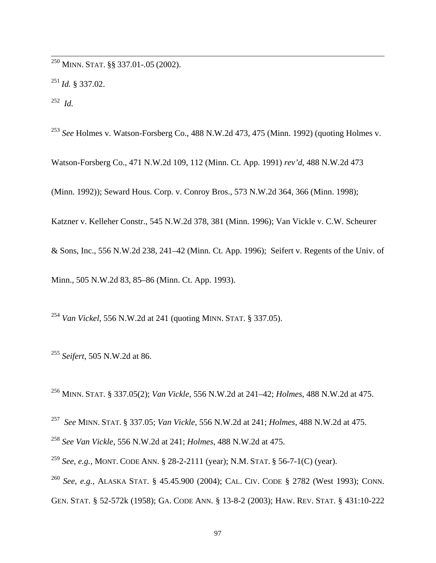$^{250}$  MINN. STAT. §§ 337.01-.05 (2002).

<sup>251</sup> *Id.* § 337.02.

252 *Id.* 

 $\overline{\phantom{a}}$ 

<sup>253</sup> *See* Holmes v. Watson-Forsberg Co., 488 N.W.2d 473, 475 (Minn. 1992) (quoting Holmes v.

Watson-Forsberg Co., 471 N.W.2d 109, 112 (Minn. Ct. App. 1991) *rev'd*, 488 N.W.2d 473

(Minn. 1992)); Seward Hous. Corp. v. Conroy Bros., 573 N.W.2d 364, 366 (Minn. 1998);

Katzner v. Kelleher Constr., 545 N.W.2d 378, 381 (Minn. 1996); Van Vickle v. C.W. Scheurer

& Sons, Inc., 556 N.W.2d 238, 241–42 (Minn. Ct. App. 1996); Seifert v. Regents of the Univ. of

Minn., 505 N.W.2d 83, 85–86 (Minn. Ct. App. 1993).

<sup>254</sup> *Van Vickel*, 556 N.W.2d at 241 (quoting MINN. STAT. § 337.05).

<sup>255</sup> *Seifert*, 505 N.W.2d at 86.

256 MINN. STAT. § 337.05(2); *Van Vickle*, 556 N.W.2d at 241–42; *Holmes*, 488 N.W.2d at 475.

257 *See* MINN. STAT. § 337.05; *Van Vickle*, 556 N.W.2d at 241; *Holmes*, 488 N.W.2d at 475.

<sup>258</sup> *See Van Vickle*, 556 N.W.2d at 241; *Holmes*, 488 N.W.2d at 475.

<sup>259</sup> *See, e.g.*, MONT. CODE ANN. § 28-2-2111 (year); N.M. STAT. § 56-7-1(C) (year).

<sup>260</sup> *See*, *e.g.*, ALASKA STAT. § 45.45.900 (2004); CAL. CIV. CODE § 2782 (West 1993); CONN. GEN. STAT. § 52-572k (1958); GA. CODE ANN. § 13-8-2 (2003); HAW. REV. STAT. § 431:10-222